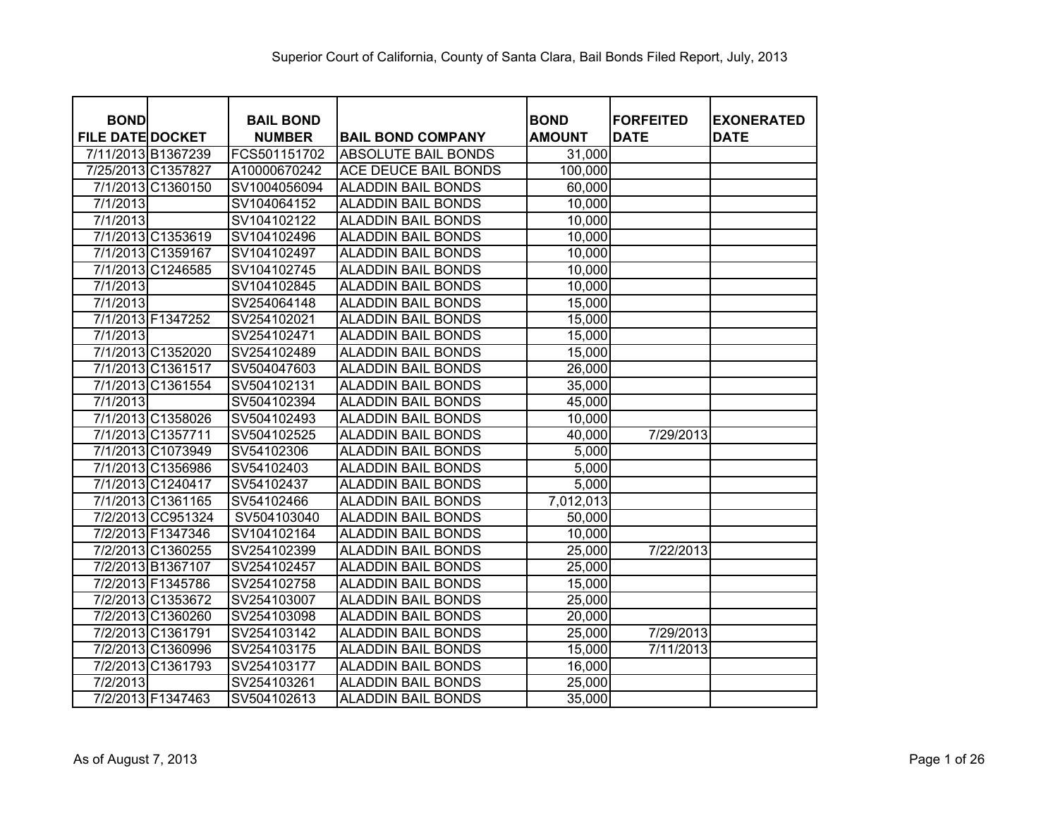| <b>BOND</b><br><b>FILE DATE DOCKET</b> |                   | <b>BAIL BOND</b><br><b>NUMBER</b> | <b>BAIL BOND COMPANY</b>    | <b>BOND</b><br><b>AMOUNT</b> | <b>FORFEITED</b><br><b>DATE</b> | <b>EXONERATED</b><br><b>DATE</b> |
|----------------------------------------|-------------------|-----------------------------------|-----------------------------|------------------------------|---------------------------------|----------------------------------|
| 7/11/2013 B1367239                     |                   | FCS501151702                      | <b>ABSOLUTE BAIL BONDS</b>  | 31,000                       |                                 |                                  |
| 7/25/2013 C1357827                     |                   | A10000670242                      | <b>ACE DEUCE BAIL BONDS</b> | 100,000                      |                                 |                                  |
|                                        | 7/1/2013 C1360150 | SV1004056094                      | <b>ALADDIN BAIL BONDS</b>   | 60,000                       |                                 |                                  |
| 7/1/2013                               |                   | SV104064152                       | <b>ALADDIN BAIL BONDS</b>   | 10,000                       |                                 |                                  |
| 7/1/2013                               |                   | SV104102122                       | <b>ALADDIN BAIL BONDS</b>   | 10,000                       |                                 |                                  |
|                                        | 7/1/2013 C1353619 | SV104102496                       | <b>ALADDIN BAIL BONDS</b>   | 10,000                       |                                 |                                  |
|                                        | 7/1/2013 C1359167 | SV104102497                       | <b>ALADDIN BAIL BONDS</b>   | 10,000                       |                                 |                                  |
|                                        | 7/1/2013 C1246585 | SV104102745                       | <b>ALADDIN BAIL BONDS</b>   | 10,000                       |                                 |                                  |
| 7/1/2013                               |                   | SV104102845                       | <b>ALADDIN BAIL BONDS</b>   | 10,000                       |                                 |                                  |
| 7/1/2013                               |                   | SV254064148                       | <b>ALADDIN BAIL BONDS</b>   | 15,000                       |                                 |                                  |
|                                        | 7/1/2013 F1347252 | SV254102021                       | <b>ALADDIN BAIL BONDS</b>   | 15,000                       |                                 |                                  |
| 7/1/2013                               |                   | SV254102471                       | <b>ALADDIN BAIL BONDS</b>   | 15,000                       |                                 |                                  |
|                                        | 7/1/2013 C1352020 | SV254102489                       | <b>ALADDIN BAIL BONDS</b>   | 15,000                       |                                 |                                  |
|                                        | 7/1/2013 C1361517 | SV504047603                       | <b>ALADDIN BAIL BONDS</b>   | 26,000                       |                                 |                                  |
|                                        | 7/1/2013 C1361554 | SV504102131                       | <b>ALADDIN BAIL BONDS</b>   | 35,000                       |                                 |                                  |
| 7/1/2013                               |                   | SV504102394                       | <b>ALADDIN BAIL BONDS</b>   | 45,000                       |                                 |                                  |
|                                        | 7/1/2013 C1358026 | SV504102493                       | <b>ALADDIN BAIL BONDS</b>   | 10,000                       |                                 |                                  |
|                                        | 7/1/2013 C1357711 | SV504102525                       | <b>ALADDIN BAIL BONDS</b>   | 40,000                       | 7/29/2013                       |                                  |
|                                        | 7/1/2013 C1073949 | SV54102306                        | <b>ALADDIN BAIL BONDS</b>   | 5,000                        |                                 |                                  |
|                                        | 7/1/2013 C1356986 | SV54102403                        | <b>ALADDIN BAIL BONDS</b>   | 5,000                        |                                 |                                  |
|                                        | 7/1/2013 C1240417 | SV54102437                        | <b>ALADDIN BAIL BONDS</b>   | 5,000                        |                                 |                                  |
|                                        | 7/1/2013 C1361165 | SV54102466                        | <b>ALADDIN BAIL BONDS</b>   | 7,012,013                    |                                 |                                  |
|                                        | 7/2/2013 CC951324 | SV504103040                       | <b>ALADDIN BAIL BONDS</b>   | 50,000                       |                                 |                                  |
|                                        | 7/2/2013 F1347346 | SV104102164                       | <b>ALADDIN BAIL BONDS</b>   | 10,000                       |                                 |                                  |
|                                        | 7/2/2013 C1360255 | SV254102399                       | <b>ALADDIN BAIL BONDS</b>   | 25,000                       | 7/22/2013                       |                                  |
|                                        | 7/2/2013 B1367107 | SV254102457                       | <b>ALADDIN BAIL BONDS</b>   | 25,000                       |                                 |                                  |
|                                        | 7/2/2013 F1345786 | SV254102758                       | <b>ALADDIN BAIL BONDS</b>   | 15,000                       |                                 |                                  |
|                                        | 7/2/2013 C1353672 | SV254103007                       | <b>ALADDIN BAIL BONDS</b>   | 25,000                       |                                 |                                  |
|                                        | 7/2/2013 C1360260 | SV254103098                       | <b>ALADDIN BAIL BONDS</b>   | 20,000                       |                                 |                                  |
|                                        | 7/2/2013 C1361791 | SV254103142                       | <b>ALADDIN BAIL BONDS</b>   | 25,000                       | 7/29/2013                       |                                  |
|                                        | 7/2/2013 C1360996 | SV254103175                       | <b>ALADDIN BAIL BONDS</b>   | 15,000                       | $\frac{1}{7}$ 1/2013            |                                  |
|                                        | 7/2/2013 C1361793 | SV254103177                       | <b>ALADDIN BAIL BONDS</b>   | 16,000                       |                                 |                                  |
| 7/2/2013                               |                   | SV254103261                       | <b>ALADDIN BAIL BONDS</b>   | 25,000                       |                                 |                                  |
|                                        | 7/2/2013 F1347463 | SV504102613                       | <b>ALADDIN BAIL BONDS</b>   | 35,000                       |                                 |                                  |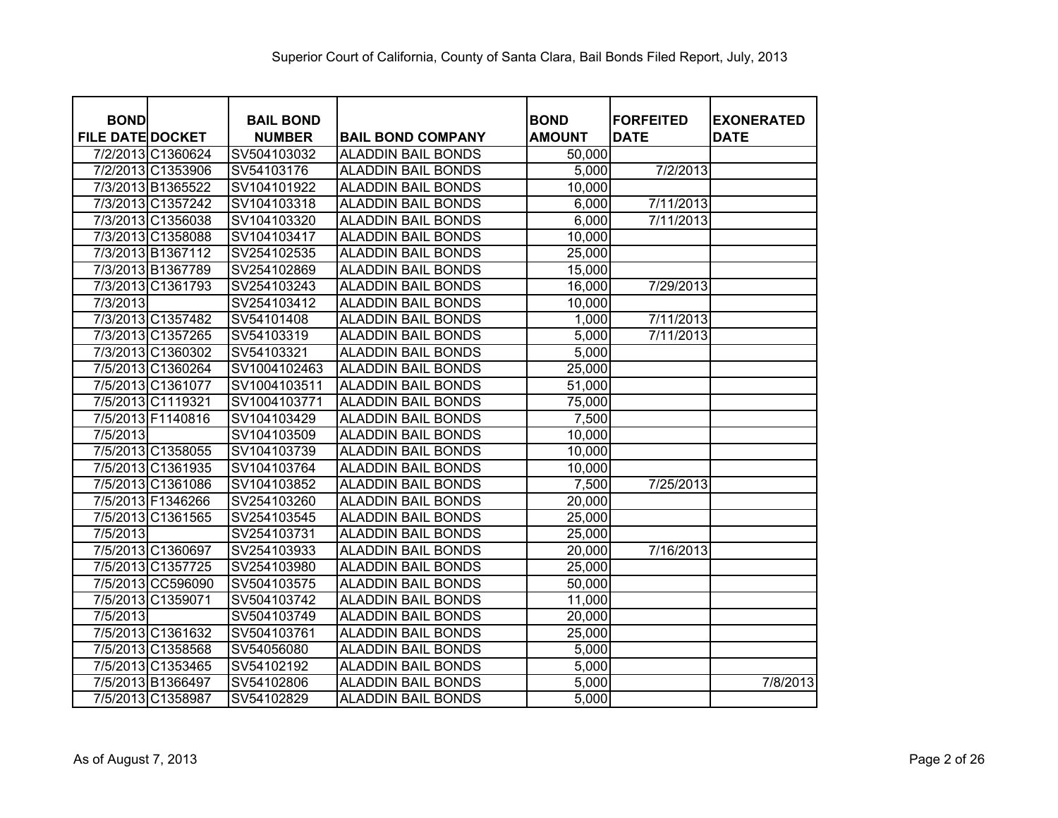| <b>BOND</b>             |                   | <b>BAIL BOND</b> |                           | <b>BOND</b>   | <b>FORFEITED</b> | <b>EXONERATED</b> |
|-------------------------|-------------------|------------------|---------------------------|---------------|------------------|-------------------|
| <b>FILE DATE DOCKET</b> |                   | <b>NUMBER</b>    | <b>BAIL BOND COMPANY</b>  | <b>AMOUNT</b> | <b>DATE</b>      | <b>DATE</b>       |
|                         | 7/2/2013 C1360624 | SV504103032      | <b>ALADDIN BAIL BONDS</b> | 50,000        |                  |                   |
|                         | 7/2/2013 C1353906 | SV54103176       | <b>ALADDIN BAIL BONDS</b> | 5,000         | 7/2/2013         |                   |
|                         | 7/3/2013 B1365522 | SV104101922      | <b>ALADDIN BAIL BONDS</b> | 10,000        |                  |                   |
|                         | 7/3/2013 C1357242 | SV104103318      | <b>ALADDIN BAIL BONDS</b> | 6,000         | 7/11/2013        |                   |
|                         | 7/3/2013 C1356038 | SV104103320      | <b>ALADDIN BAIL BONDS</b> | 6,000         | 7/11/2013        |                   |
|                         | 7/3/2013 C1358088 | SV104103417      | <b>ALADDIN BAIL BONDS</b> | 10,000        |                  |                   |
|                         | 7/3/2013 B1367112 | SV254102535      | <b>ALADDIN BAIL BONDS</b> | 25,000        |                  |                   |
| 7/3/2013 B1367789       |                   | SV254102869      | <b>ALADDIN BAIL BONDS</b> | 15,000        |                  |                   |
|                         | 7/3/2013 C1361793 | SV254103243      | <b>ALADDIN BAIL BONDS</b> | 16,000        | 7/29/2013        |                   |
| $\frac{7}{3}$ /2013     |                   | SV254103412      | <b>ALADDIN BAIL BONDS</b> | 10,000        |                  |                   |
|                         | 7/3/2013 C1357482 | SV54101408       | <b>ALADDIN BAIL BONDS</b> | 1,000         | 7/11/2013        |                   |
|                         | 7/3/2013 C1357265 | SV54103319       | <b>ALADDIN BAIL BONDS</b> | 5,000         | 7/11/2013        |                   |
|                         | 7/3/2013 C1360302 | SV54103321       | <b>ALADDIN BAIL BONDS</b> | 5,000         |                  |                   |
|                         | 7/5/2013 C1360264 | SV1004102463     | <b>ALADDIN BAIL BONDS</b> | 25,000        |                  |                   |
| 7/5/2013 C1361077       |                   | SV1004103511     | <b>ALADDIN BAIL BONDS</b> | 51,000        |                  |                   |
| 7/5/2013 C1119321       |                   | SV1004103771     | <b>ALADDIN BAIL BONDS</b> | 75,000        |                  |                   |
| 7/5/2013 F1140816       |                   | SV104103429      | <b>ALADDIN BAIL BONDS</b> | 7,500         |                  |                   |
| 7/5/2013                |                   | SV104103509      | <b>ALADDIN BAIL BONDS</b> | 10,000        |                  |                   |
|                         | 7/5/2013 C1358055 | SV104103739      | <b>ALADDIN BAIL BONDS</b> | 10,000        |                  |                   |
|                         | 7/5/2013 C1361935 | SV104103764      | <b>ALADDIN BAIL BONDS</b> | 10,000        |                  |                   |
|                         | 7/5/2013 C1361086 | SV104103852      | <b>ALADDIN BAIL BONDS</b> | 7,500         | 7/25/2013        |                   |
| 7/5/2013 F1346266       |                   | SV254103260      | <b>ALADDIN BAIL BONDS</b> | 20,000        |                  |                   |
|                         | 7/5/2013 C1361565 | SV254103545      | <b>ALADDIN BAIL BONDS</b> | 25,000        |                  |                   |
| 7/5/2013                |                   | SV254103731      | <b>ALADDIN BAIL BONDS</b> | 25,000        |                  |                   |
|                         | 7/5/2013 C1360697 | SV254103933      | <b>ALADDIN BAIL BONDS</b> | 20,000        | 7/16/2013        |                   |
|                         | 7/5/2013 C1357725 | SV254103980      | <b>ALADDIN BAIL BONDS</b> | 25,000        |                  |                   |
|                         | 7/5/2013 CC596090 | SV504103575      | <b>ALADDIN BAIL BONDS</b> | 50,000        |                  |                   |
| 7/5/2013 C1359071       |                   | SV504103742      | <b>ALADDIN BAIL BONDS</b> | 11,000        |                  |                   |
| 7/5/2013                |                   | SV504103749      | <b>ALADDIN BAIL BONDS</b> | 20,000        |                  |                   |
|                         | 7/5/2013 C1361632 | SV504103761      | <b>ALADDIN BAIL BONDS</b> | 25,000        |                  |                   |
|                         | 7/5/2013 C1358568 | SV54056080       | <b>ALADDIN BAIL BONDS</b> | 5,000         |                  |                   |
|                         | 7/5/2013 C1353465 | SV54102192       | <b>ALADDIN BAIL BONDS</b> | 5,000         |                  |                   |
| 7/5/2013 B1366497       |                   | SV54102806       | <b>ALADDIN BAIL BONDS</b> | 5,000         |                  | 7/8/2013          |
| 7/5/2013 C1358987       |                   | SV54102829       | <b>ALADDIN BAIL BONDS</b> | 5,000         |                  |                   |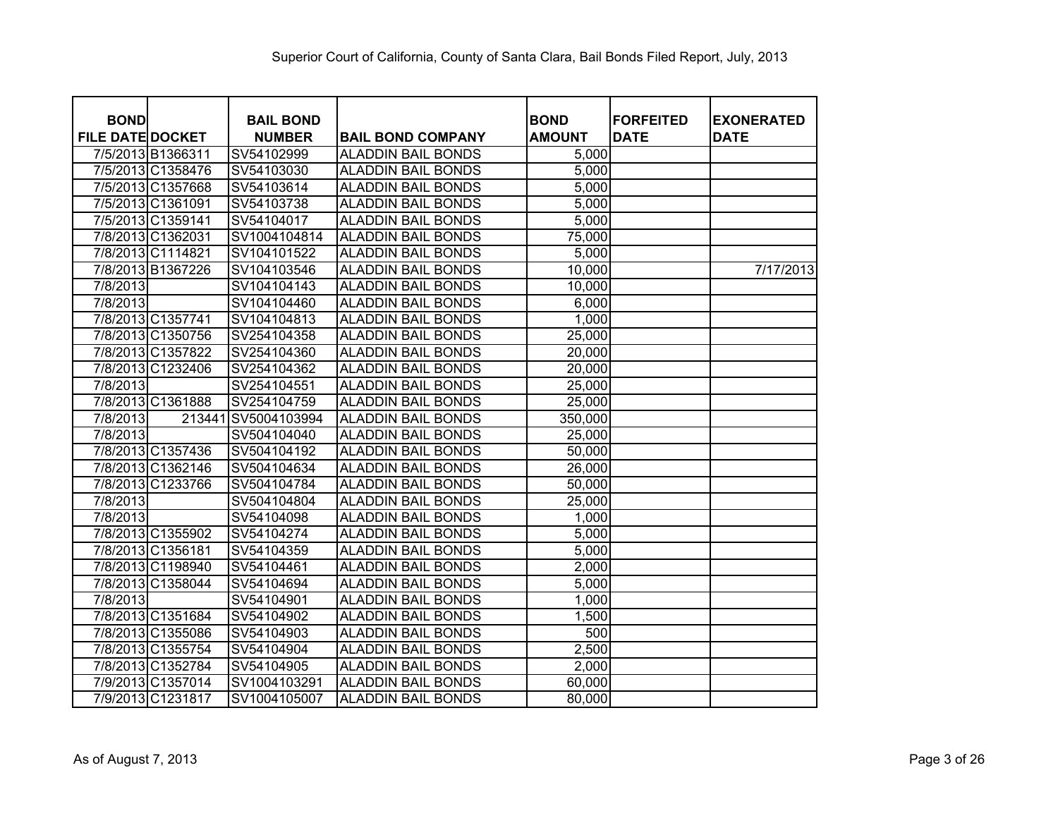| <b>BOND</b>             |                   | <b>BAIL BOND</b> |                           | <b>BOND</b>   | <b>FORFEITED</b> | <b>EXONERATED</b> |
|-------------------------|-------------------|------------------|---------------------------|---------------|------------------|-------------------|
| <b>FILE DATE DOCKET</b> |                   | <b>NUMBER</b>    | <b>BAIL BOND COMPANY</b>  | <b>AMOUNT</b> | <b>DATE</b>      | <b>DATE</b>       |
|                         | 7/5/2013 B1366311 | SV54102999       | <b>ALADDIN BAIL BONDS</b> | 5,000         |                  |                   |
|                         | 7/5/2013 C1358476 | SV54103030       | <b>ALADDIN BAIL BONDS</b> | 5,000         |                  |                   |
|                         | 7/5/2013 C1357668 | SV54103614       | <b>ALADDIN BAIL BONDS</b> | 5,000         |                  |                   |
|                         | 7/5/2013 C1361091 | SV54103738       | <b>ALADDIN BAIL BONDS</b> | 5,000         |                  |                   |
|                         | 7/5/2013 C1359141 | SV54104017       | <b>ALADDIN BAIL BONDS</b> | 5,000         |                  |                   |
|                         | 7/8/2013 C1362031 | SV1004104814     | <b>ALADDIN BAIL BONDS</b> | 75,000        |                  |                   |
|                         | 7/8/2013 C1114821 | SV104101522      | <b>ALADDIN BAIL BONDS</b> | 5,000         |                  |                   |
|                         | 7/8/2013 B1367226 | SV104103546      | <b>ALADDIN BAIL BONDS</b> | 10,000        |                  | 7/17/2013         |
| 7/8/2013                |                   | SV104104143      | <b>ALADDIN BAIL BONDS</b> | 10,000        |                  |                   |
| 7/8/2013                |                   | SV104104460      | <b>ALADDIN BAIL BONDS</b> | 6,000         |                  |                   |
|                         | 7/8/2013 C1357741 | SV104104813      | <b>ALADDIN BAIL BONDS</b> | 1,000         |                  |                   |
|                         | 7/8/2013 C1350756 | SV254104358      | <b>ALADDIN BAIL BONDS</b> | 25,000        |                  |                   |
|                         | 7/8/2013 C1357822 | SV254104360      | <b>ALADDIN BAIL BONDS</b> | 20,000        |                  |                   |
|                         | 7/8/2013 C1232406 | SV254104362      | <b>ALADDIN BAIL BONDS</b> | 20,000        |                  |                   |
| 7/8/2013                |                   | SV254104551      | <b>ALADDIN BAIL BONDS</b> | 25,000        |                  |                   |
|                         | 7/8/2013 C1361888 | SV254104759      | <b>ALADDIN BAIL BONDS</b> | 25,000        |                  |                   |
| 7/8/2013                | 213441            | SV5004103994     | <b>ALADDIN BAIL BONDS</b> | 350,000       |                  |                   |
| 7/8/2013                |                   | SV504104040      | <b>ALADDIN BAIL BONDS</b> | 25,000        |                  |                   |
|                         | 7/8/2013 C1357436 | SV504104192      | <b>ALADDIN BAIL BONDS</b> | 50,000        |                  |                   |
|                         | 7/8/2013 C1362146 | SV504104634      | <b>ALADDIN BAIL BONDS</b> | 26,000        |                  |                   |
|                         | 7/8/2013 C1233766 | SV504104784      | <b>ALADDIN BAIL BONDS</b> | 50,000        |                  |                   |
| 7/8/2013                |                   | SV504104804      | <b>ALADDIN BAIL BONDS</b> | 25,000        |                  |                   |
| $\overline{7/8}/2013$   |                   | SV54104098       | <b>ALADDIN BAIL BONDS</b> | 1,000         |                  |                   |
|                         | 7/8/2013 C1355902 | SV54104274       | <b>ALADDIN BAIL BONDS</b> | 5,000         |                  |                   |
|                         | 7/8/2013 C1356181 | SV54104359       | <b>ALADDIN BAIL BONDS</b> | 5,000         |                  |                   |
|                         | 7/8/2013 C1198940 | SV54104461       | <b>ALADDIN BAIL BONDS</b> | 2,000         |                  |                   |
|                         | 7/8/2013 C1358044 | SV54104694       | <b>ALADDIN BAIL BONDS</b> | 5,000         |                  |                   |
| 7/8/2013                |                   | SV54104901       | <b>ALADDIN BAIL BONDS</b> | 1,000         |                  |                   |
|                         | 7/8/2013 C1351684 | SV54104902       | <b>ALADDIN BAIL BONDS</b> | 1,500         |                  |                   |
|                         | 7/8/2013 C1355086 | SV54104903       | <b>ALADDIN BAIL BONDS</b> | 500           |                  |                   |
|                         | 7/8/2013 C1355754 | SV54104904       | <b>ALADDIN BAIL BONDS</b> | 2,500         |                  |                   |
|                         | 7/8/2013 C1352784 | SV54104905       | <b>ALADDIN BAIL BONDS</b> | 2,000         |                  |                   |
|                         | 7/9/2013 C1357014 | SV1004103291     | <b>ALADDIN BAIL BONDS</b> | 60,000        |                  |                   |
|                         | 7/9/2013 C1231817 | SV1004105007     | <b>ALADDIN BAIL BONDS</b> | 80,000        |                  |                   |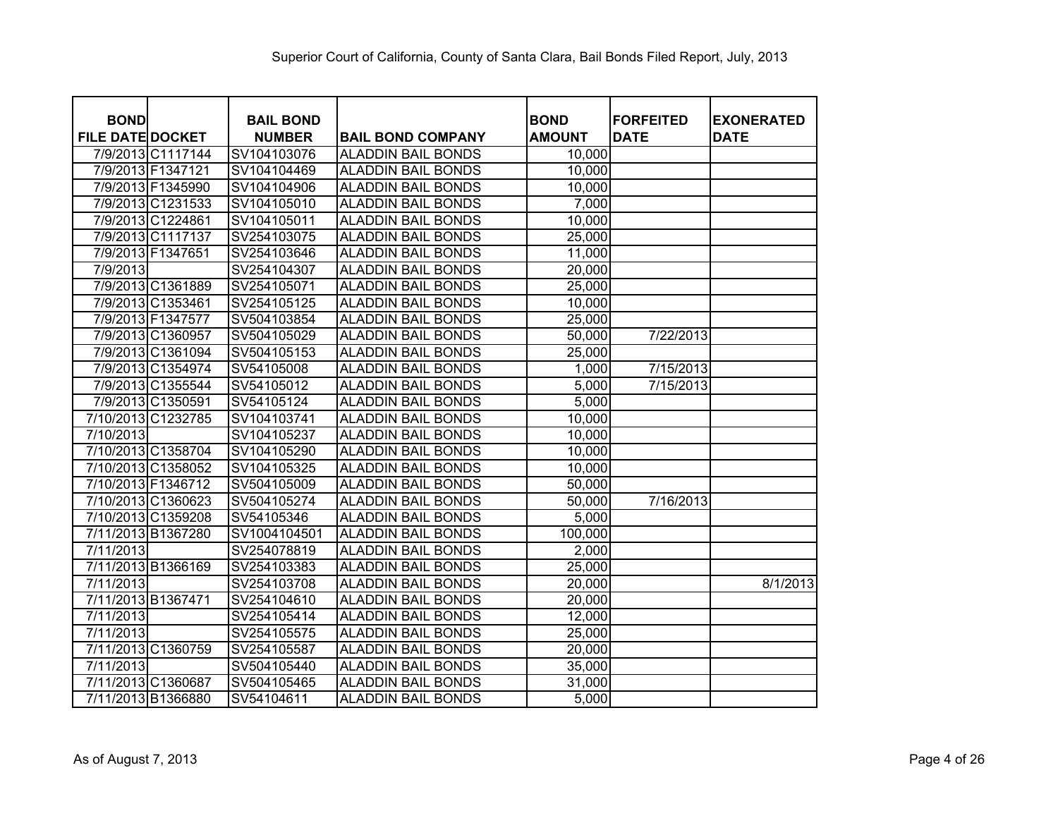| <b>BOND</b>             |                    | <b>BAIL BOND</b> |                           | <b>BOND</b>   | <b>FORFEITED</b> | <b>EXONERATED</b> |
|-------------------------|--------------------|------------------|---------------------------|---------------|------------------|-------------------|
| <b>FILE DATE DOCKET</b> |                    | <b>NUMBER</b>    | <b>BAIL BOND COMPANY</b>  | <b>AMOUNT</b> | <b>DATE</b>      | <b>DATE</b>       |
|                         | 7/9/2013 C1117144  | SV104103076      | <b>ALADDIN BAIL BONDS</b> | 10,000        |                  |                   |
|                         | 7/9/2013 F1347121  | SV104104469      | <b>ALADDIN BAIL BONDS</b> | 10,000        |                  |                   |
|                         | 7/9/2013 F1345990  | SV104104906      | <b>ALADDIN BAIL BONDS</b> | 10,000        |                  |                   |
|                         | 7/9/2013 C1231533  | SV104105010      | <b>ALADDIN BAIL BONDS</b> | 7,000         |                  |                   |
|                         | 7/9/2013 C1224861  | SV104105011      | <b>ALADDIN BAIL BONDS</b> | 10,000        |                  |                   |
|                         | 7/9/2013 C1117137  | SV254103075      | <b>ALADDIN BAIL BONDS</b> | 25,000        |                  |                   |
|                         | 7/9/2013 F1347651  | SV254103646      | <b>ALADDIN BAIL BONDS</b> | 11,000        |                  |                   |
| 7/9/2013                |                    | SV254104307      | <b>ALADDIN BAIL BONDS</b> | 20,000        |                  |                   |
|                         | 7/9/2013 C1361889  | SV254105071      | <b>ALADDIN BAIL BONDS</b> | 25,000        |                  |                   |
|                         | 7/9/2013 C1353461  | SV254105125      | <b>ALADDIN BAIL BONDS</b> | 10,000        |                  |                   |
|                         | 7/9/2013 F1347577  | SV504103854      | <b>ALADDIN BAIL BONDS</b> | 25,000        |                  |                   |
|                         | 7/9/2013 C1360957  | SV504105029      | <b>ALADDIN BAIL BONDS</b> | 50,000        | 7/22/2013        |                   |
|                         | 7/9/2013 C1361094  | SV504105153      | <b>ALADDIN BAIL BONDS</b> | 25,000        |                  |                   |
|                         | 7/9/2013 C1354974  | SV54105008       | <b>ALADDIN BAIL BONDS</b> | 1,000         | 7/15/2013        |                   |
|                         | 7/9/2013 C1355544  | SV54105012       | <b>ALADDIN BAIL BONDS</b> | 5,000         | 7/15/2013        |                   |
|                         | 7/9/2013 C1350591  | SV54105124       | <b>ALADDIN BAIL BONDS</b> | 5,000         |                  |                   |
|                         | 7/10/2013 C1232785 | SV104103741      | <b>ALADDIN BAIL BONDS</b> | 10,000        |                  |                   |
| 7/10/2013               |                    | SV104105237      | <b>ALADDIN BAIL BONDS</b> | 10,000        |                  |                   |
|                         | 7/10/2013 C1358704 | SV104105290      | <b>ALADDIN BAIL BONDS</b> | 10,000        |                  |                   |
|                         | 7/10/2013 C1358052 | SV104105325      | <b>ALADDIN BAIL BONDS</b> | 10,000        |                  |                   |
| 7/10/2013 F1346712      |                    | SV504105009      | <b>ALADDIN BAIL BONDS</b> | 50,000        |                  |                   |
|                         | 7/10/2013 C1360623 | SV504105274      | <b>ALADDIN BAIL BONDS</b> | 50,000        | 7/16/2013        |                   |
|                         | 7/10/2013 C1359208 | SV54105346       | <b>ALADDIN BAIL BONDS</b> | 5,000         |                  |                   |
| 7/11/2013 B1367280      |                    | SV1004104501     | <b>ALADDIN BAIL BONDS</b> | 100,000       |                  |                   |
| 7/11/2013               |                    | SV254078819      | <b>ALADDIN BAIL BONDS</b> | 2,000         |                  |                   |
| 7/11/2013 B1366169      |                    | SV254103383      | <b>ALADDIN BAIL BONDS</b> | 25,000        |                  |                   |
| 7/11/2013               |                    | SV254103708      | <b>ALADDIN BAIL BONDS</b> | 20,000        |                  | 8/1/2013          |
| 7/11/2013 B1367471      |                    | SV254104610      | <b>ALADDIN BAIL BONDS</b> | 20,000        |                  |                   |
| 7/11/2013               |                    | SV254105414      | <b>ALADDIN BAIL BONDS</b> | 12,000        |                  |                   |
| 7/11/2013               |                    | SV254105575      | <b>ALADDIN BAIL BONDS</b> | 25,000        |                  |                   |
|                         | 7/11/2013 C1360759 | SV254105587      | <b>ALADDIN BAIL BONDS</b> | 20,000        |                  |                   |
| 7/11/2013               |                    | SV504105440      | <b>ALADDIN BAIL BONDS</b> | 35,000        |                  |                   |
| 7/11/2013 C1360687      |                    | SV504105465      | <b>ALADDIN BAIL BONDS</b> | 31,000        |                  |                   |
| 7/11/2013 B1366880      |                    | SV54104611       | <b>ALADDIN BAIL BONDS</b> | 5,000         |                  |                   |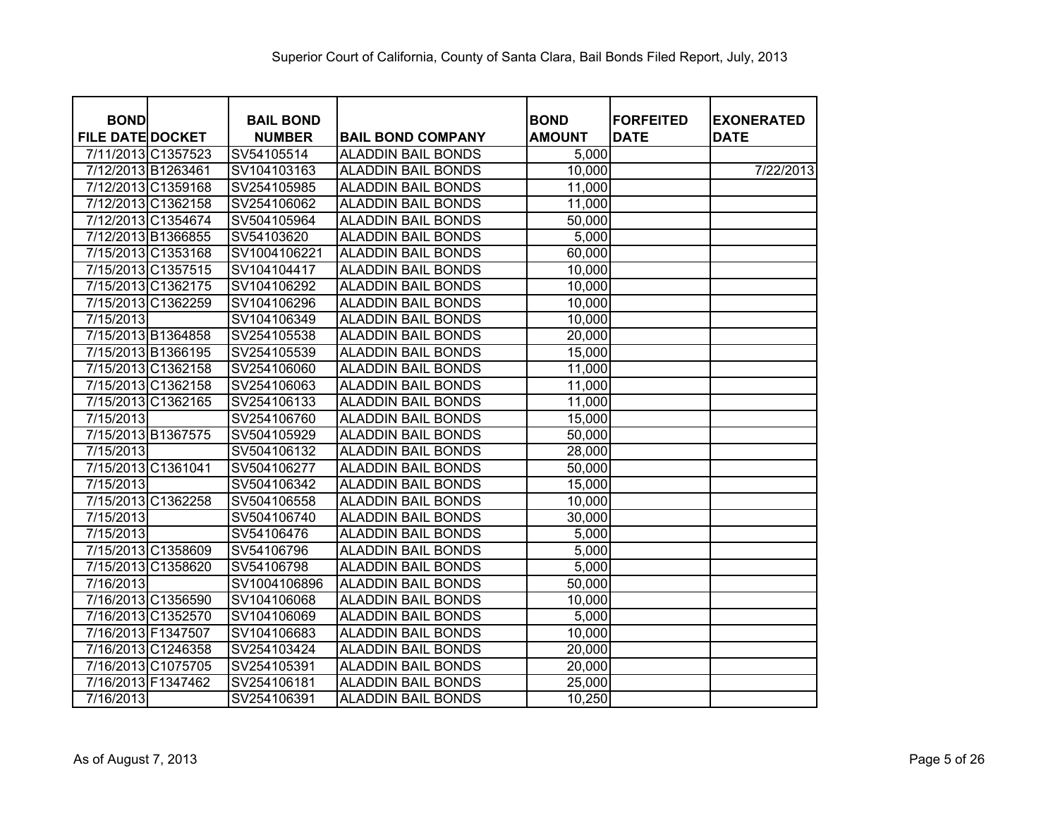| <b>BOND</b>             |                    | <b>BAIL BOND</b> |                           | <b>BOND</b>   | <b>FORFEITED</b> | <b>EXONERATED</b> |
|-------------------------|--------------------|------------------|---------------------------|---------------|------------------|-------------------|
| <b>FILE DATE DOCKET</b> |                    | <b>NUMBER</b>    | <b>BAIL BOND COMPANY</b>  | <b>AMOUNT</b> | <b>DATE</b>      | <b>DATE</b>       |
|                         | 7/11/2013 C1357523 | SV54105514       | <b>ALADDIN BAIL BONDS</b> | 5,000         |                  |                   |
| 7/12/2013 B1263461      |                    | SV104103163      | <b>ALADDIN BAIL BONDS</b> | 10,000        |                  | 7/22/2013         |
|                         | 7/12/2013 C1359168 | SV254105985      | <b>ALADDIN BAIL BONDS</b> | 11,000        |                  |                   |
|                         | 7/12/2013 C1362158 | SV254106062      | <b>ALADDIN BAIL BONDS</b> | 11,000        |                  |                   |
|                         | 7/12/2013 C1354674 | SV504105964      | <b>ALADDIN BAIL BONDS</b> | 50,000        |                  |                   |
|                         | 7/12/2013 B1366855 | SV54103620       | <b>ALADDIN BAIL BONDS</b> | 5,000         |                  |                   |
|                         | 7/15/2013 C1353168 | SV1004106221     | <b>ALADDIN BAIL BONDS</b> | 60,000        |                  |                   |
|                         | 7/15/2013 C1357515 | SV104104417      | <b>ALADDIN BAIL BONDS</b> | 10,000        |                  |                   |
|                         | 7/15/2013 C1362175 | SV104106292      | <b>ALADDIN BAIL BONDS</b> | 10,000        |                  |                   |
|                         | 7/15/2013 C1362259 | SV104106296      | <b>ALADDIN BAIL BONDS</b> | 10,000        |                  |                   |
| 7/15/2013               |                    | SV104106349      | <b>ALADDIN BAIL BONDS</b> | 10,000        |                  |                   |
|                         | 7/15/2013 B1364858 | SV254105538      | <b>ALADDIN BAIL BONDS</b> | 20,000        |                  |                   |
|                         | 7/15/2013 B1366195 | SV254105539      | <b>ALADDIN BAIL BONDS</b> | 15,000        |                  |                   |
|                         | 7/15/2013 C1362158 | SV254106060      | <b>ALADDIN BAIL BONDS</b> | 11,000        |                  |                   |
|                         | 7/15/2013 C1362158 | SV254106063      | <b>ALADDIN BAIL BONDS</b> | 11,000        |                  |                   |
|                         | 7/15/2013 C1362165 | SV254106133      | <b>ALADDIN BAIL BONDS</b> | 11,000        |                  |                   |
| 7/15/2013               |                    | SV254106760      | <b>ALADDIN BAIL BONDS</b> | 15,000        |                  |                   |
|                         | 7/15/2013 B1367575 | SV504105929      | <b>ALADDIN BAIL BONDS</b> | 50,000        |                  |                   |
| 7/15/2013               |                    | SV504106132      | <b>ALADDIN BAIL BONDS</b> | 28,000        |                  |                   |
|                         | 7/15/2013 C1361041 | SV504106277      | <b>ALADDIN BAIL BONDS</b> | 50,000        |                  |                   |
| 7/15/2013               |                    | SV504106342      | <b>ALADDIN BAIL BONDS</b> | 15,000        |                  |                   |
|                         | 7/15/2013 C1362258 | SV504106558      | <b>ALADDIN BAIL BONDS</b> | 10,000        |                  |                   |
| 7/15/2013               |                    | SV504106740      | <b>ALADDIN BAIL BONDS</b> | 30,000        |                  |                   |
| 7/15/2013               |                    | SV54106476       | <b>ALADDIN BAIL BONDS</b> | 5,000         |                  |                   |
|                         | 7/15/2013 C1358609 | SV54106796       | <b>ALADDIN BAIL BONDS</b> | 5,000         |                  |                   |
|                         | 7/15/2013 C1358620 | SV54106798       | <b>ALADDIN BAIL BONDS</b> | 5,000         |                  |                   |
| 7/16/2013               |                    | SV1004106896     | <b>ALADDIN BAIL BONDS</b> | 50,000        |                  |                   |
|                         | 7/16/2013 C1356590 | SV104106068      | <b>ALADDIN BAIL BONDS</b> | 10,000        |                  |                   |
|                         | 7/16/2013 C1352570 | SV104106069      | <b>ALADDIN BAIL BONDS</b> | 5,000         |                  |                   |
| 7/16/2013 F1347507      |                    | SV104106683      | <b>ALADDIN BAIL BONDS</b> | 10,000        |                  |                   |
|                         | 7/16/2013 C1246358 | SV254103424      | <b>ALADDIN BAIL BONDS</b> | 20,000        |                  |                   |
|                         | 7/16/2013 C1075705 | SV254105391      | <b>ALADDIN BAIL BONDS</b> | 20,000        |                  |                   |
|                         | 7/16/2013 F1347462 | SV254106181      | <b>ALADDIN BAIL BONDS</b> | 25,000        |                  |                   |
| 7/16/2013               |                    | SV254106391      | <b>ALADDIN BAIL BONDS</b> | 10,250        |                  |                   |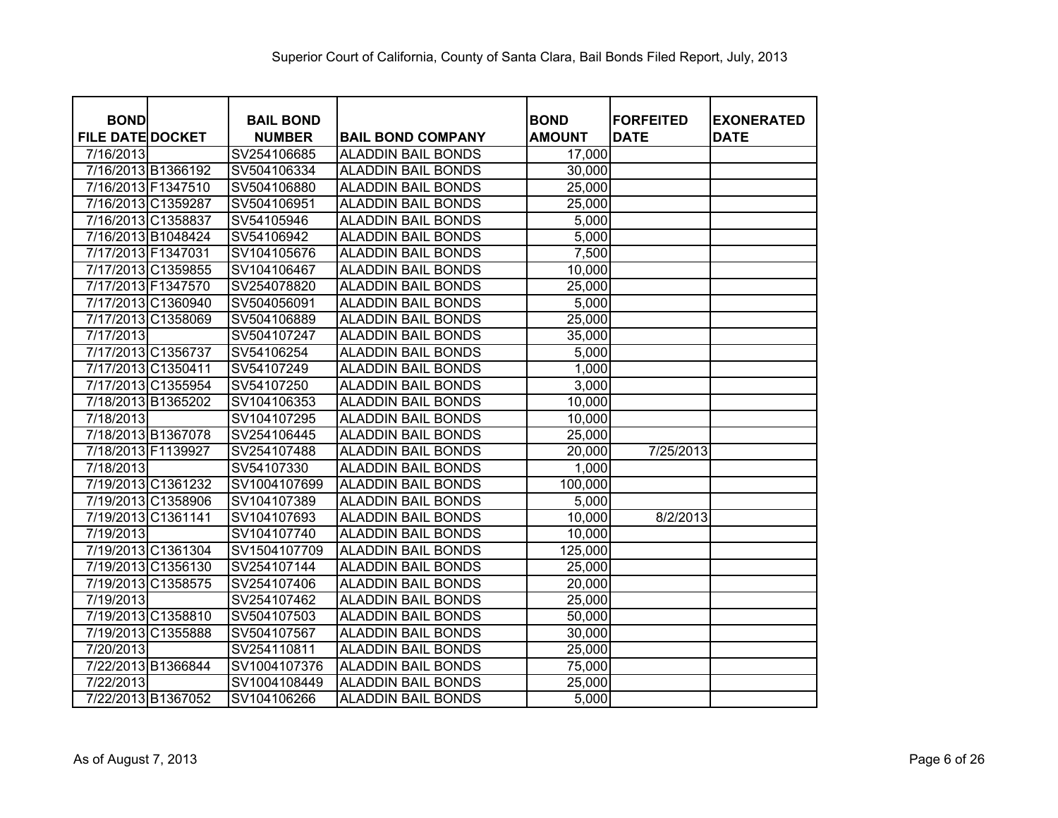| <b>BOND</b>             |                    | <b>BAIL BOND</b> |                           | <b>BOND</b>   | <b>FORFEITED</b> | <b>EXONERATED</b> |
|-------------------------|--------------------|------------------|---------------------------|---------------|------------------|-------------------|
| <b>FILE DATE DOCKET</b> |                    | <b>NUMBER</b>    | <b>BAIL BOND COMPANY</b>  | <b>AMOUNT</b> | <b>DATE</b>      | <b>DATE</b>       |
| 7/16/2013               |                    | SV254106685      | <b>ALADDIN BAIL BONDS</b> | 17,000        |                  |                   |
| 7/16/2013 B1366192      |                    | SV504106334      | <b>ALADDIN BAIL BONDS</b> | 30,000        |                  |                   |
| 7/16/2013 F1347510      |                    | SV504106880      | <b>ALADDIN BAIL BONDS</b> | 25,000        |                  |                   |
| 7/16/2013 C1359287      |                    | SV504106951      | <b>ALADDIN BAIL BONDS</b> | 25,000        |                  |                   |
| 7/16/2013 C1358837      |                    | SV54105946       | <b>ALADDIN BAIL BONDS</b> | 5,000         |                  |                   |
| 7/16/2013 B1048424      |                    | SV54106942       | <b>ALADDIN BAIL BONDS</b> | 5,000         |                  |                   |
| 7/17/2013 F1347031      |                    | SV104105676      | <b>ALADDIN BAIL BONDS</b> | 7,500         |                  |                   |
| 7/17/2013 C1359855      |                    | SV104106467      | <b>ALADDIN BAIL BONDS</b> | 10,000        |                  |                   |
| 7/17/2013 F1347570      |                    | SV254078820      | <b>ALADDIN BAIL BONDS</b> | 25,000        |                  |                   |
| 7/17/2013 C1360940      |                    | SV504056091      | <b>ALADDIN BAIL BONDS</b> | 5,000         |                  |                   |
| 7/17/2013 C1358069      |                    | SV504106889      | <b>ALADDIN BAIL BONDS</b> | 25,000        |                  |                   |
| 7/17/2013               |                    | SV504107247      | <b>ALADDIN BAIL BONDS</b> | 35,000        |                  |                   |
| 7/17/2013 C1356737      |                    | SV54106254       | <b>ALADDIN BAIL BONDS</b> | 5,000         |                  |                   |
| 7/17/2013 C1350411      |                    | SV54107249       | <b>ALADDIN BAIL BONDS</b> | 1,000         |                  |                   |
| 7/17/2013 C1355954      |                    | SV54107250       | <b>ALADDIN BAIL BONDS</b> | 3,000         |                  |                   |
| 7/18/2013 B1365202      |                    | SV104106353      | <b>ALADDIN BAIL BONDS</b> | 10,000        |                  |                   |
| 7/18/2013               |                    | SV104107295      | <b>ALADDIN BAIL BONDS</b> | 10,000        |                  |                   |
| 7/18/2013 B1367078      |                    | SV254106445      | <b>ALADDIN BAIL BONDS</b> | 25,000        |                  |                   |
| 7/18/2013 F1139927      |                    | SV254107488      | <b>ALADDIN BAIL BONDS</b> | 20,000        | 7/25/2013        |                   |
| 7/18/2013               |                    | SV54107330       | <b>ALADDIN BAIL BONDS</b> | 1,000         |                  |                   |
| 7/19/2013 C1361232      |                    | SV1004107699     | <b>ALADDIN BAIL BONDS</b> | 100,000       |                  |                   |
| 7/19/2013 C1358906      |                    | SV104107389      | <b>ALADDIN BAIL BONDS</b> | 5,000         |                  |                   |
| 7/19/2013 C1361141      |                    | SV104107693      | <b>ALADDIN BAIL BONDS</b> | 10,000        | 8/2/2013         |                   |
| 7/19/2013               |                    | SV104107740      | <b>ALADDIN BAIL BONDS</b> | 10,000        |                  |                   |
| 7/19/2013 C1361304      |                    | SV1504107709     | <b>ALADDIN BAIL BONDS</b> | 125,000       |                  |                   |
|                         | 7/19/2013 C1356130 | SV254107144      | <b>ALADDIN BAIL BONDS</b> | 25,000        |                  |                   |
| 7/19/2013 C1358575      |                    | SV254107406      | <b>ALADDIN BAIL BONDS</b> | 20,000        |                  |                   |
| 7/19/2013               |                    | SV254107462      | <b>ALADDIN BAIL BONDS</b> | 25,000        |                  |                   |
| 7/19/2013 C1358810      |                    | SV504107503      | <b>ALADDIN BAIL BONDS</b> | 50,000        |                  |                   |
| 7/19/2013 C1355888      |                    | SV504107567      | <b>ALADDIN BAIL BONDS</b> | 30,000        |                  |                   |
| 7/20/2013               |                    | SV254110811      | <b>ALADDIN BAIL BONDS</b> | 25,000        |                  |                   |
| 7/22/2013 B1366844      |                    | SV1004107376     | <b>ALADDIN BAIL BONDS</b> | 75,000        |                  |                   |
| 7/22/2013               |                    | SV1004108449     | <b>ALADDIN BAIL BONDS</b> | 25,000        |                  |                   |
| 7/22/2013 B1367052      |                    | SV104106266      | <b>ALADDIN BAIL BONDS</b> | 5,000         |                  |                   |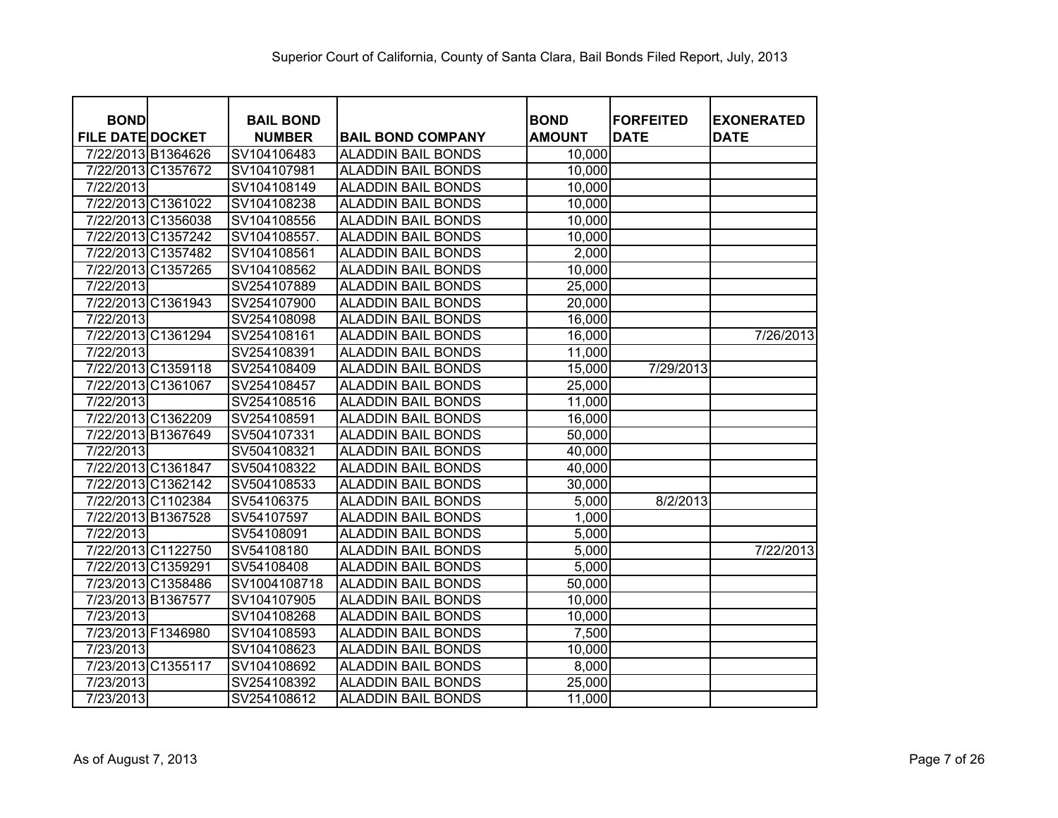| <b>BOND</b>             |                    | <b>BAIL BOND</b> |                           | <b>BOND</b>   | <b>FORFEITED</b> | <b>EXONERATED</b> |
|-------------------------|--------------------|------------------|---------------------------|---------------|------------------|-------------------|
| <b>FILE DATE DOCKET</b> |                    | <b>NUMBER</b>    | <b>BAIL BOND COMPANY</b>  | <b>AMOUNT</b> | <b>DATE</b>      | <b>DATE</b>       |
| 7/22/2013 B1364626      |                    | SV104106483      | <b>ALADDIN BAIL BONDS</b> | 10,000        |                  |                   |
|                         | 7/22/2013 C1357672 | SV104107981      | <b>ALADDIN BAIL BONDS</b> | 10,000        |                  |                   |
| 7/22/2013               |                    | SV104108149      | <b>ALADDIN BAIL BONDS</b> | 10,000        |                  |                   |
|                         | 7/22/2013 C1361022 | SV104108238      | <b>ALADDIN BAIL BONDS</b> | 10,000        |                  |                   |
|                         | 7/22/2013 C1356038 | SV104108556      | <b>ALADDIN BAIL BONDS</b> | 10,000        |                  |                   |
|                         | 7/22/2013 C1357242 | SV104108557.     | <b>ALADDIN BAIL BONDS</b> | 10,000        |                  |                   |
|                         | 7/22/2013 C1357482 | SV104108561      | <b>ALADDIN BAIL BONDS</b> | 2,000         |                  |                   |
|                         | 7/22/2013 C1357265 | SV104108562      | <b>ALADDIN BAIL BONDS</b> | 10,000        |                  |                   |
| 7/22/2013               |                    | SV254107889      | <b>ALADDIN BAIL BONDS</b> | 25,000        |                  |                   |
|                         | 7/22/2013 C1361943 | SV254107900      | <b>ALADDIN BAIL BONDS</b> | 20,000        |                  |                   |
| 7/22/2013               |                    | SV254108098      | <b>ALADDIN BAIL BONDS</b> | 16,000        |                  |                   |
|                         | 7/22/2013 C1361294 | SV254108161      | <b>ALADDIN BAIL BONDS</b> | 16,000        |                  | 7/26/2013         |
| 7/22/2013               |                    | SV254108391      | <b>ALADDIN BAIL BONDS</b> | 11,000        |                  |                   |
|                         | 7/22/2013 C1359118 | SV254108409      | <b>ALADDIN BAIL BONDS</b> | 15,000        | 7/29/2013        |                   |
| 7/22/2013 C1361067      |                    | SV254108457      | <b>ALADDIN BAIL BONDS</b> | 25,000        |                  |                   |
| 7/22/2013               |                    | SV254108516      | ALADDIN BAIL BONDS        | 11,000        |                  |                   |
|                         | 7/22/2013 C1362209 | SV254108591      | <b>ALADDIN BAIL BONDS</b> | 16,000        |                  |                   |
| 7/22/2013 B1367649      |                    | SV504107331      | <b>ALADDIN BAIL BONDS</b> | 50,000        |                  |                   |
| 7/22/2013               |                    | SV504108321      | <b>ALADDIN BAIL BONDS</b> | 40,000        |                  |                   |
| 7/22/2013 C1361847      |                    | SV504108322      | <b>ALADDIN BAIL BONDS</b> | 40,000        |                  |                   |
|                         | 7/22/2013 C1362142 | SV504108533      | <b>ALADDIN BAIL BONDS</b> | 30,000        |                  |                   |
|                         | 7/22/2013 C1102384 | SV54106375       | <b>ALADDIN BAIL BONDS</b> | 5,000         | 8/2/2013         |                   |
| 7/22/2013 B1367528      |                    | SV54107597       | <b>ALADDIN BAIL BONDS</b> | 1,000         |                  |                   |
| 7/22/2013               |                    | SV54108091       | <b>ALADDIN BAIL BONDS</b> | 5,000         |                  |                   |
|                         | 7/22/2013 C1122750 | SV54108180       | <b>ALADDIN BAIL BONDS</b> | 5,000         |                  | 7/22/2013         |
| 7/22/2013 C1359291      |                    | SV54108408       | <b>ALADDIN BAIL BONDS</b> | 5,000         |                  |                   |
|                         | 7/23/2013 C1358486 | SV1004108718     | <b>ALADDIN BAIL BONDS</b> | 50,000        |                  |                   |
| 7/23/2013 B1367577      |                    | SV104107905      | <b>ALADDIN BAIL BONDS</b> | 10,000        |                  |                   |
| 7/23/2013               |                    | SV104108268      | <b>ALADDIN BAIL BONDS</b> | 10,000        |                  |                   |
| 7/23/2013 F1346980      |                    | SV104108593      | <b>ALADDIN BAIL BONDS</b> | 7,500         |                  |                   |
| 7/23/2013               |                    | SV104108623      | <b>ALADDIN BAIL BONDS</b> | 10,000        |                  |                   |
| 7/23/2013 C1355117      |                    | SV104108692      | <b>ALADDIN BAIL BONDS</b> | 8,000         |                  |                   |
| 7/23/2013               |                    | SV254108392      | <b>ALADDIN BAIL BONDS</b> | 25,000        |                  |                   |
| 7/23/2013               |                    | SV254108612      | <b>ALADDIN BAIL BONDS</b> | 11,000        |                  |                   |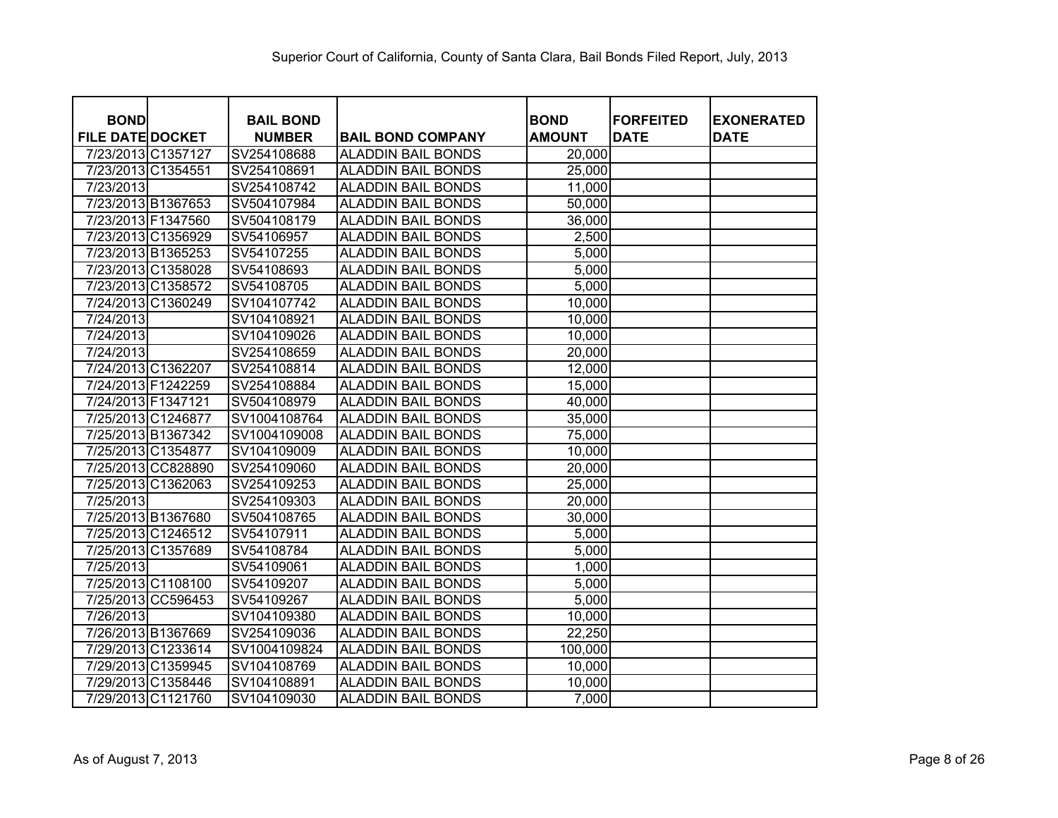| <b>BOND</b>             | <b>BAIL BOND</b> |                           | <b>BOND</b>   | <b>FORFEITED</b> |                                  |
|-------------------------|------------------|---------------------------|---------------|------------------|----------------------------------|
| <b>FILE DATE DOCKET</b> | <b>NUMBER</b>    | <b>BAIL BOND COMPANY</b>  | <b>AMOUNT</b> | <b>DATE</b>      | <b>EXONERATED</b><br><b>DATE</b> |
| 7/23/2013 C1357127      | SV254108688      | <b>ALADDIN BAIL BONDS</b> | 20,000        |                  |                                  |
| 7/23/2013 C1354551      | SV254108691      | <b>ALADDIN BAIL BONDS</b> | 25,000        |                  |                                  |
| 7/23/2013               | SV254108742      | <b>ALADDIN BAIL BONDS</b> | 11,000        |                  |                                  |
| 7/23/2013 B1367653      | SV504107984      | <b>ALADDIN BAIL BONDS</b> | 50,000        |                  |                                  |
| 7/23/2013 F1347560      | SV504108179      | <b>ALADDIN BAIL BONDS</b> | 36,000        |                  |                                  |
| 7/23/2013 C1356929      | SV54106957       | <b>ALADDIN BAIL BONDS</b> | 2,500         |                  |                                  |
| 7/23/2013 B1365253      | SV54107255       | <b>ALADDIN BAIL BONDS</b> | 5,000         |                  |                                  |
| 7/23/2013 C1358028      | SV54108693       | <b>ALADDIN BAIL BONDS</b> | 5,000         |                  |                                  |
| 7/23/2013 C1358572      | SV54108705       | <b>ALADDIN BAIL BONDS</b> | 5,000         |                  |                                  |
| 7/24/2013 C1360249      | SV104107742      | <b>ALADDIN BAIL BONDS</b> | 10,000        |                  |                                  |
| 7/24/2013               | SV104108921      | <b>ALADDIN BAIL BONDS</b> | 10,000        |                  |                                  |
| 7/24/2013               | SV104109026      | <b>ALADDIN BAIL BONDS</b> | 10,000        |                  |                                  |
| 7/24/2013               | SV254108659      | <b>ALADDIN BAIL BONDS</b> | 20,000        |                  |                                  |
| 7/24/2013 C1362207      | SV254108814      | <b>ALADDIN BAIL BONDS</b> | 12,000        |                  |                                  |
| 7/24/2013 F1242259      | SV254108884      | <b>ALADDIN BAIL BONDS</b> | 15,000        |                  |                                  |
| 7/24/2013 F1347121      | SV504108979      | <b>ALADDIN BAIL BONDS</b> | 40,000        |                  |                                  |
| 7/25/2013 C1246877      | SV1004108764     | <b>ALADDIN BAIL BONDS</b> | 35,000        |                  |                                  |
| 7/25/2013 B1367342      | SV1004109008     | <b>ALADDIN BAIL BONDS</b> | 75,000        |                  |                                  |
| 7/25/2013 C1354877      | SV104109009      | <b>ALADDIN BAIL BONDS</b> | 10,000        |                  |                                  |
| 7/25/2013 CC828890      | SV254109060      | <b>ALADDIN BAIL BONDS</b> | 20,000        |                  |                                  |
| 7/25/2013 C1362063      | SV254109253      | <b>ALADDIN BAIL BONDS</b> | 25,000        |                  |                                  |
| 7/25/2013               | SV254109303      | <b>ALADDIN BAIL BONDS</b> | 20,000        |                  |                                  |
| 7/25/2013 B1367680      | SV504108765      | <b>ALADDIN BAIL BONDS</b> | 30,000        |                  |                                  |
| 7/25/2013 C1246512      | SV54107911       | <b>ALADDIN BAIL BONDS</b> | 5,000         |                  |                                  |
| 7/25/2013 C1357689      | SV54108784       | <b>ALADDIN BAIL BONDS</b> | 5,000         |                  |                                  |
| 7/25/2013               | SV54109061       | <b>ALADDIN BAIL BONDS</b> | 1,000         |                  |                                  |
| 7/25/2013 C1108100      | SV54109207       | <b>ALADDIN BAIL BONDS</b> | 5,000         |                  |                                  |
| 7/25/2013 CC596453      | SV54109267       | <b>ALADDIN BAIL BONDS</b> | 5,000         |                  |                                  |
| 7/26/2013               | SV104109380      | <b>ALADDIN BAIL BONDS</b> | 10,000        |                  |                                  |
| 7/26/2013 B1367669      | SV254109036      | <b>ALADDIN BAIL BONDS</b> | 22,250        |                  |                                  |
| 7/29/2013 C1233614      | SV1004109824     | <b>ALADDIN BAIL BONDS</b> | 100,000       |                  |                                  |
| 7/29/2013 C1359945      | SV104108769      | <b>ALADDIN BAIL BONDS</b> | 10,000        |                  |                                  |
| 7/29/2013 C1358446      | SV104108891      | <b>ALADDIN BAIL BONDS</b> | 10,000        |                  |                                  |
| 7/29/2013 C1121760      | SV104109030      | <b>ALADDIN BAIL BONDS</b> | 7,000         |                  |                                  |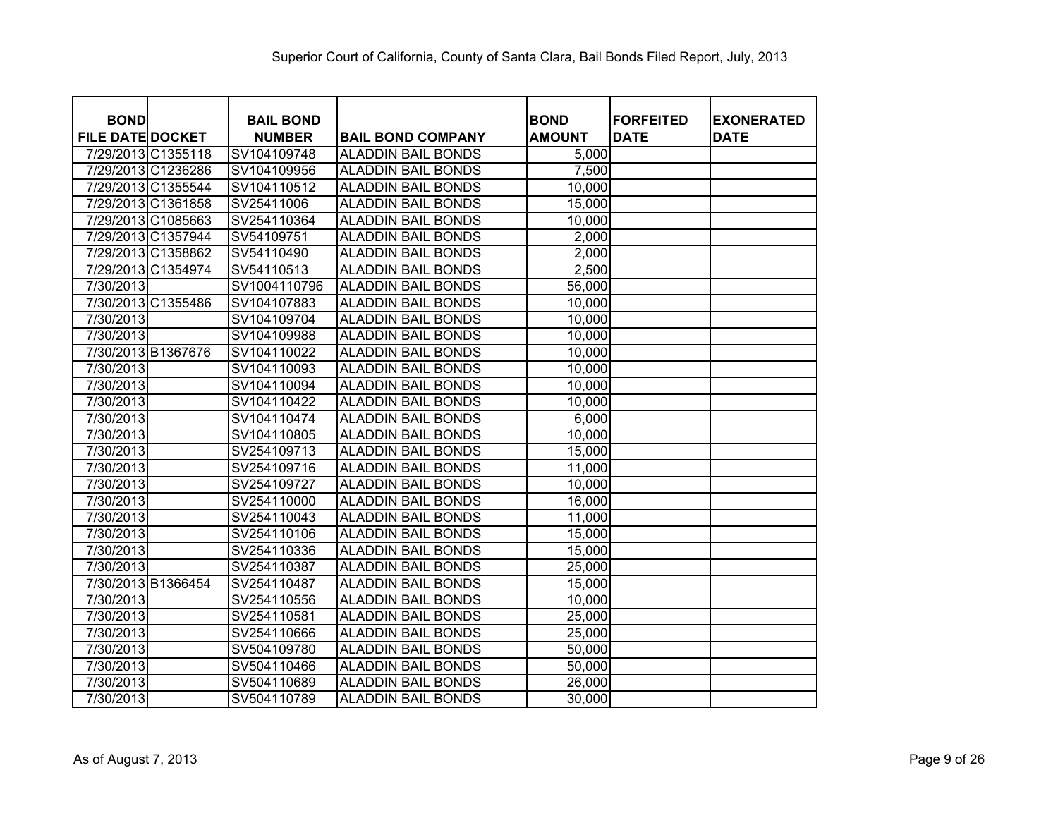| <b>BOND</b>             | <b>BAIL BOND</b> |                           | <b>BOND</b>   | <b>FORFEITED</b> | <b>EXONERATED</b> |
|-------------------------|------------------|---------------------------|---------------|------------------|-------------------|
| <b>FILE DATE DOCKET</b> | <b>NUMBER</b>    | <b>BAIL BOND COMPANY</b>  | <b>AMOUNT</b> | <b>DATE</b>      | <b>DATE</b>       |
| 7/29/2013 C1355118      | SV104109748      | <b>ALADDIN BAIL BONDS</b> | 5,000         |                  |                   |
| 7/29/2013 C1236286      | SV104109956      | <b>ALADDIN BAIL BONDS</b> | 7,500         |                  |                   |
| 7/29/2013 C1355544      | SV104110512      | <b>ALADDIN BAIL BONDS</b> | 10,000        |                  |                   |
| 7/29/2013 C1361858      | SV25411006       | <b>ALADDIN BAIL BONDS</b> | 15,000        |                  |                   |
| 7/29/2013 C1085663      | SV254110364      | <b>ALADDIN BAIL BONDS</b> | 10,000        |                  |                   |
| 7/29/2013 C1357944      | SV54109751       | <b>ALADDIN BAIL BONDS</b> | 2,000         |                  |                   |
| 7/29/2013 C1358862      | SV54110490       | <b>ALADDIN BAIL BONDS</b> | 2,000         |                  |                   |
| 7/29/2013 C1354974      | SV54110513       | <b>ALADDIN BAIL BONDS</b> | 2,500         |                  |                   |
| 7/30/2013               | SV1004110796     | <b>ALADDIN BAIL BONDS</b> | 56,000        |                  |                   |
| 7/30/2013 C1355486      | SV104107883      | <b>ALADDIN BAIL BONDS</b> | 10,000        |                  |                   |
| 7/30/2013               | SV104109704      | <b>ALADDIN BAIL BONDS</b> | 10,000        |                  |                   |
| 7/30/2013               | SV104109988      | <b>ALADDIN BAIL BONDS</b> | 10,000        |                  |                   |
| 7/30/2013 B1367676      | SV104110022      | <b>ALADDIN BAIL BONDS</b> | 10,000        |                  |                   |
| 7/30/2013               | SV104110093      | <b>ALADDIN BAIL BONDS</b> | 10,000        |                  |                   |
| 7/30/2013               | SV104110094      | <b>ALADDIN BAIL BONDS</b> | 10,000        |                  |                   |
| 7/30/2013               | SV104110422      | <b>ALADDIN BAIL BONDS</b> | 10,000        |                  |                   |
| 7/30/2013               | SV104110474      | <b>ALADDIN BAIL BONDS</b> | 6,000         |                  |                   |
| 7/30/2013               | SV104110805      | <b>ALADDIN BAIL BONDS</b> | 10,000        |                  |                   |
| 7/30/2013               | SV254109713      | <b>ALADDIN BAIL BONDS</b> | 15,000        |                  |                   |
| 7/30/2013               | SV254109716      | <b>ALADDIN BAIL BONDS</b> | 11,000        |                  |                   |
| 7/30/2013               | SV254109727      | <b>ALADDIN BAIL BONDS</b> | 10,000        |                  |                   |
| 7/30/2013               | SV254110000      | <b>ALADDIN BAIL BONDS</b> | 16,000        |                  |                   |
| 7/30/2013               | SV254110043      | <b>ALADDIN BAIL BONDS</b> | 11,000        |                  |                   |
| 7/30/2013               | SV254110106      | <b>ALADDIN BAIL BONDS</b> | 15,000        |                  |                   |
| 7/30/2013               | SV254110336      | <b>ALADDIN BAIL BONDS</b> | 15,000        |                  |                   |
| 7/30/2013               | SV254110387      | <b>ALADDIN BAIL BONDS</b> | 25,000        |                  |                   |
| 7/30/2013 B1366454      | SV254110487      | <b>ALADDIN BAIL BONDS</b> | 15,000        |                  |                   |
| 7/30/2013               | SV254110556      | <b>ALADDIN BAIL BONDS</b> | 10,000        |                  |                   |
| 7/30/2013               | SV254110581      | <b>ALADDIN BAIL BONDS</b> | 25,000        |                  |                   |
| 7/30/2013               | SV254110666      | <b>ALADDIN BAIL BONDS</b> | 25,000        |                  |                   |
| 7/30/2013               | SV504109780      | <b>ALADDIN BAIL BONDS</b> | 50,000        |                  |                   |
| 7/30/2013               | SV504110466      | <b>ALADDIN BAIL BONDS</b> | 50,000        |                  |                   |
| 7/30/2013               | SV504110689      | <b>ALADDIN BAIL BONDS</b> | 26,000        |                  |                   |
| 7/30/2013               | SV504110789      | <b>ALADDIN BAIL BONDS</b> | 30,000        |                  |                   |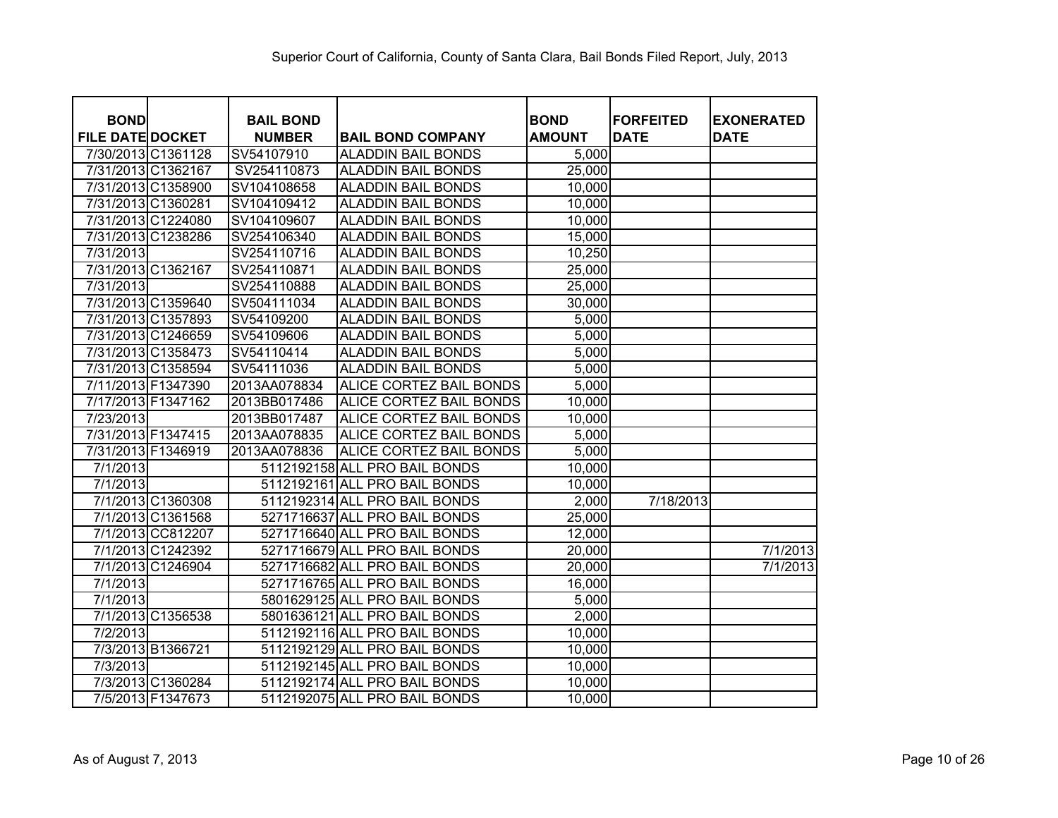| <b>BOND</b>             |                    | <b>BAIL BOND</b> |                               | <b>BOND</b>   | <b>IFORFEITED</b> | <b>EXONERATED</b> |
|-------------------------|--------------------|------------------|-------------------------------|---------------|-------------------|-------------------|
| <b>FILE DATE DOCKET</b> |                    | <b>NUMBER</b>    | <b>BAIL BOND COMPANY</b>      | <b>AMOUNT</b> | <b>DATE</b>       | <b>DATE</b>       |
|                         | 7/30/2013 C1361128 | SV54107910       | <b>ALADDIN BAIL BONDS</b>     | 5,000         |                   |                   |
|                         | 7/31/2013 C1362167 | SV254110873      | <b>ALADDIN BAIL BONDS</b>     | 25,000        |                   |                   |
|                         | 7/31/2013 C1358900 | SV104108658      | <b>ALADDIN BAIL BONDS</b>     | 10,000        |                   |                   |
| 7/31/2013 C1360281      |                    | SV104109412      | <b>ALADDIN BAIL BONDS</b>     | 10,000        |                   |                   |
|                         | 7/31/2013 C1224080 | SV104109607      | <b>ALADDIN BAIL BONDS</b>     | 10,000        |                   |                   |
|                         | 7/31/2013 C1238286 | SV254106340      | <b>ALADDIN BAIL BONDS</b>     | 15,000        |                   |                   |
| 7/31/2013               |                    | SV254110716      | <b>ALADDIN BAIL BONDS</b>     | 10,250        |                   |                   |
| 7/31/2013 C1362167      |                    | SV254110871      | <b>ALADDIN BAIL BONDS</b>     | 25,000        |                   |                   |
| 7/31/2013               |                    | SV254110888      | <b>ALADDIN BAIL BONDS</b>     | 25,000        |                   |                   |
|                         | 7/31/2013 C1359640 | SV504111034      | <b>ALADDIN BAIL BONDS</b>     | 30,000        |                   |                   |
|                         | 7/31/2013 C1357893 | SV54109200       | <b>ALADDIN BAIL BONDS</b>     | 5,000         |                   |                   |
|                         | 7/31/2013 C1246659 | SV54109606       | <b>ALADDIN BAIL BONDS</b>     | 5,000         |                   |                   |
|                         | 7/31/2013 C1358473 | SV54110414       | <b>ALADDIN BAIL BONDS</b>     | 5,000         |                   |                   |
|                         | 7/31/2013 C1358594 | SV54111036       | <b>ALADDIN BAIL BONDS</b>     | 5,000         |                   |                   |
| 7/11/2013 F1347390      |                    | 2013AA078834     | ALICE CORTEZ BAIL BONDS       | 5,000         |                   |                   |
| 7/17/2013 F1347162      |                    | 2013BB017486     | ALICE CORTEZ BAIL BONDS       | 10,000        |                   |                   |
| 7/23/2013               |                    | 2013BB017487     | ALICE CORTEZ BAIL BONDS       | 10,000        |                   |                   |
| 7/31/2013 F1347415      |                    | 2013AA078835     | ALICE CORTEZ BAIL BONDS       | 5,000         |                   |                   |
| 7/31/2013 F1346919      |                    | 2013AA078836     | ALICE CORTEZ BAIL BONDS       | 5,000         |                   |                   |
| 7/1/2013                |                    |                  | 5112192158 ALL PRO BAIL BONDS | 10,000        |                   |                   |
| 7/1/2013                |                    |                  | 5112192161 ALL PRO BAIL BONDS | 10,000        |                   |                   |
|                         | 7/1/2013 C1360308  |                  | 5112192314 ALL PRO BAIL BONDS | 2,000         | 7/18/2013         |                   |
|                         | 7/1/2013 C1361568  |                  | 5271716637 ALL PRO BAIL BONDS | 25,000        |                   |                   |
|                         | 7/1/2013 CC812207  |                  | 5271716640 ALL PRO BAIL BONDS | 12,000        |                   |                   |
|                         | 7/1/2013 C1242392  |                  | 5271716679 ALL PRO BAIL BONDS | 20,000        |                   | 7/1/2013          |
|                         | 7/1/2013 C1246904  |                  | 5271716682 ALL PRO BAIL BONDS | 20,000        |                   | 7/1/2013          |
| 7/1/2013                |                    |                  | 5271716765 ALL PRO BAIL BONDS | 16,000        |                   |                   |
| 7/1/2013                |                    |                  | 5801629125 ALL PRO BAIL BONDS | 5,000         |                   |                   |
|                         | 7/1/2013 C1356538  |                  | 5801636121 ALL PRO BAIL BONDS | 2,000         |                   |                   |
| 7/2/2013                |                    |                  | 5112192116 ALL PRO BAIL BONDS | 10,000        |                   |                   |
|                         | 7/3/2013 B1366721  |                  | 5112192129 ALL PRO BAIL BONDS | 10,000        |                   |                   |
| 7/3/2013                |                    |                  | 5112192145 ALL PRO BAIL BONDS | 10,000        |                   |                   |
|                         | 7/3/2013 C1360284  |                  | 5112192174 ALL PRO BAIL BONDS | 10,000        |                   |                   |
|                         | 7/5/2013 F1347673  |                  | 5112192075 ALL PRO BAIL BONDS | 10,000        |                   |                   |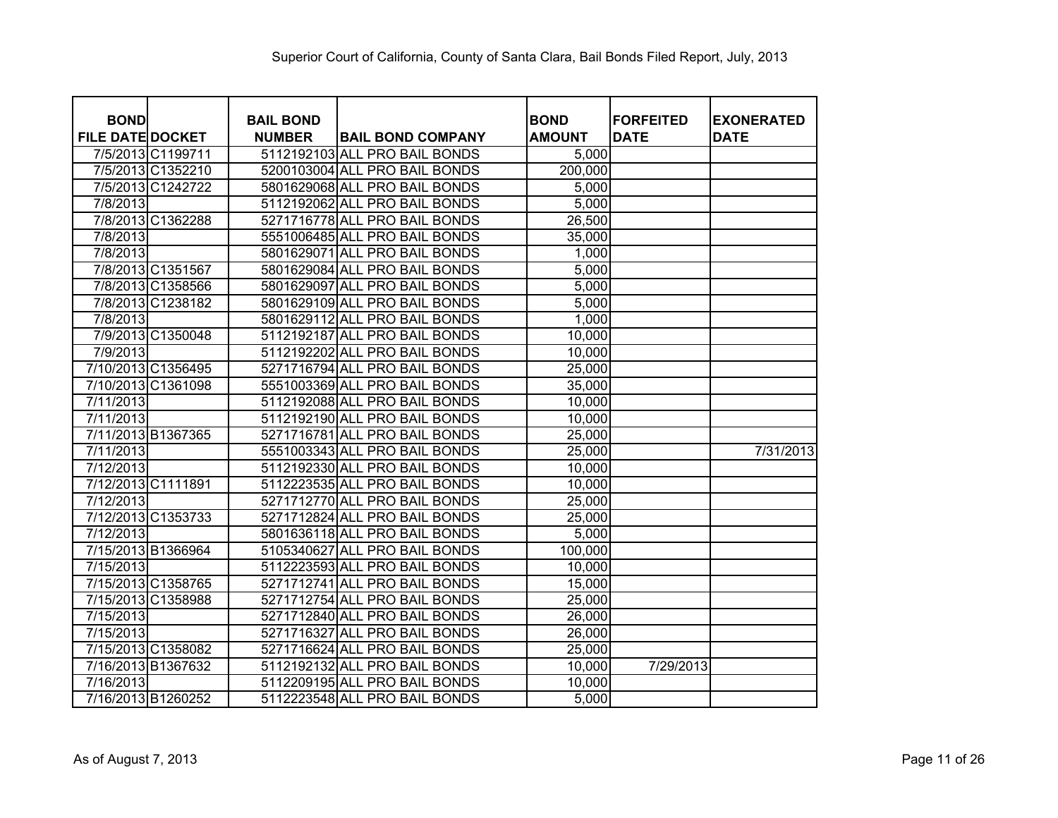| <b>BOND</b>             | <b>BAIL BOND</b> |                               | <b>BOND</b>   | <b>FORFEITED</b> | <b>EXONERATED</b> |
|-------------------------|------------------|-------------------------------|---------------|------------------|-------------------|
| <b>FILE DATE DOCKET</b> | <b>NUMBER</b>    | <b>BAIL BOND COMPANY</b>      | <b>AMOUNT</b> | <b>DATE</b>      | <b>DATE</b>       |
| 7/5/2013 C1199711       |                  | 5112192103 ALL PRO BAIL BONDS | 5,000         |                  |                   |
| 7/5/2013 C1352210       |                  | 5200103004 ALL PRO BAIL BONDS | 200,000       |                  |                   |
| 7/5/2013 C1242722       |                  | 5801629068 ALL PRO BAIL BONDS | 5,000         |                  |                   |
| 7/8/2013                |                  | 5112192062 ALL PRO BAIL BONDS | 5,000         |                  |                   |
| 7/8/2013 C1362288       |                  | 5271716778 ALL PRO BAIL BONDS | 26,500        |                  |                   |
| 7/8/2013                |                  | 5551006485 ALL PRO BAIL BONDS | 35,000        |                  |                   |
| 7/8/2013                |                  | 5801629071 ALL PRO BAIL BONDS | 1,000         |                  |                   |
| 7/8/2013 C1351567       |                  | 5801629084 ALL PRO BAIL BONDS | 5,000         |                  |                   |
| 7/8/2013 C1358566       |                  | 5801629097 ALL PRO BAIL BONDS | 5,000         |                  |                   |
| 7/8/2013 C1238182       |                  | 5801629109 ALL PRO BAIL BONDS | 5,000         |                  |                   |
| 7/8/2013                |                  | 5801629112 ALL PRO BAIL BONDS | 1,000         |                  |                   |
| 7/9/2013 C1350048       |                  | 5112192187 ALL PRO BAIL BONDS | 10,000        |                  |                   |
| 7/9/2013                |                  | 5112192202 ALL PRO BAIL BONDS | 10,000        |                  |                   |
| 7/10/2013 C1356495      |                  | 5271716794 ALL PRO BAIL BONDS | 25,000        |                  |                   |
| 7/10/2013 C1361098      |                  | 5551003369 ALL PRO BAIL BONDS | 35,000        |                  |                   |
| 7/11/2013               |                  | 5112192088 ALL PRO BAIL BONDS | 10,000        |                  |                   |
| 7/11/2013               |                  | 5112192190 ALL PRO BAIL BONDS | 10,000        |                  |                   |
| 7/11/2013 B1367365      |                  | 5271716781 ALL PRO BAIL BONDS | 25,000        |                  |                   |
| 7/11/2013               |                  | 5551003343 ALL PRO BAIL BONDS | 25,000        |                  | 7/31/2013         |
| 7/12/2013               |                  | 5112192330 ALL PRO BAIL BONDS | 10,000        |                  |                   |
| 7/12/2013 C1111891      |                  | 5112223535 ALL PRO BAIL BONDS | 10,000        |                  |                   |
| 7/12/2013               |                  | 5271712770 ALL PRO BAIL BONDS | 25,000        |                  |                   |
| 7/12/2013 C1353733      |                  | 5271712824 ALL PRO BAIL BONDS | 25,000        |                  |                   |
| 7/12/2013               |                  | 5801636118 ALL PRO BAIL BONDS | 5,000         |                  |                   |
| 7/15/2013 B1366964      |                  | 5105340627 ALL PRO BAIL BONDS | 100,000       |                  |                   |
| 7/15/2013               |                  | 5112223593 ALL PRO BAIL BONDS | 10,000        |                  |                   |
| 7/15/2013 C1358765      |                  | 5271712741 ALL PRO BAIL BONDS | 15,000        |                  |                   |
| 7/15/2013 C1358988      |                  | 5271712754 ALL PRO BAIL BONDS | 25,000        |                  |                   |
| 7/15/2013               |                  | 5271712840 ALL PRO BAIL BONDS | 26,000        |                  |                   |
| 7/15/2013               |                  | 5271716327 ALL PRO BAIL BONDS | 26,000        |                  |                   |
| 7/15/2013 C1358082      |                  | 5271716624 ALL PRO BAIL BONDS | 25,000        |                  |                   |
| 7/16/2013 B1367632      |                  | 5112192132 ALL PRO BAIL BONDS | 10,000        | 7/29/2013        |                   |
| 7/16/2013               |                  | 5112209195 ALL PRO BAIL BONDS | 10,000        |                  |                   |
| 7/16/2013 B1260252      |                  | 5112223548 ALL PRO BAIL BONDS | 5,000         |                  |                   |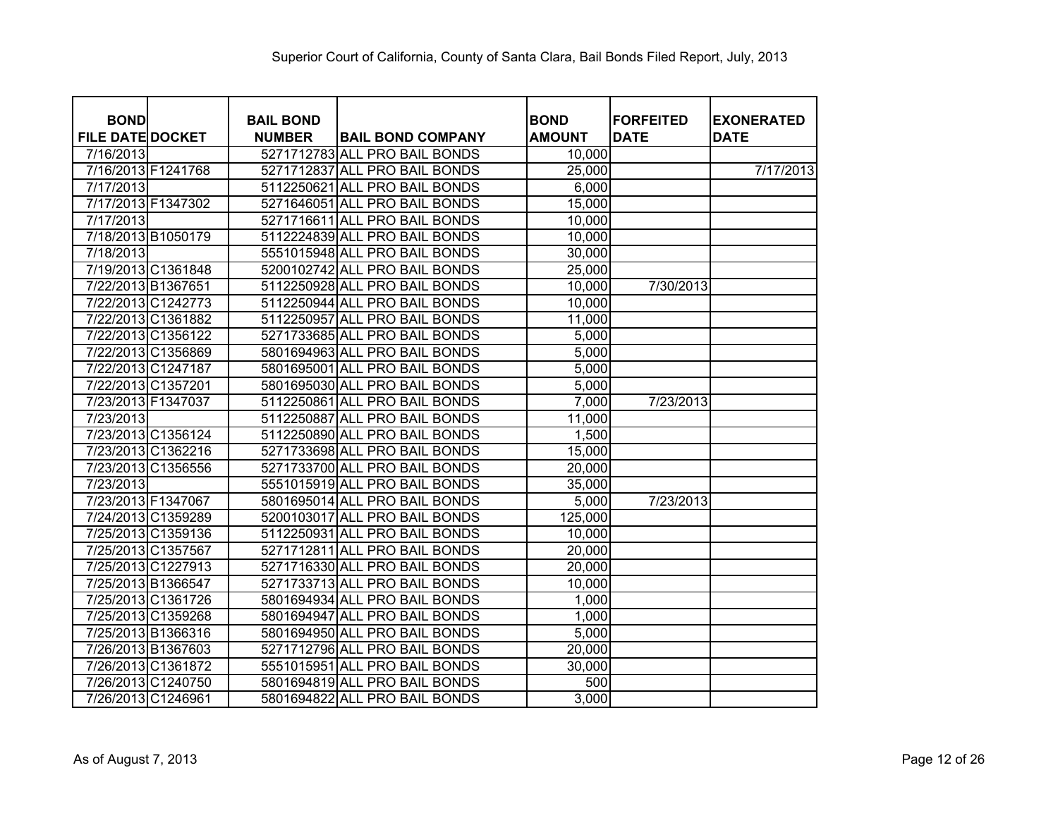| <b>BOND</b>             | <b>BAIL BOND</b> |                               | <b>BOND</b>   | <b>FORFEITED</b> | <b>EXONERATED</b> |
|-------------------------|------------------|-------------------------------|---------------|------------------|-------------------|
| <b>FILE DATE DOCKET</b> | <b>NUMBER</b>    | <b>BAIL BOND COMPANY</b>      | <b>AMOUNT</b> | <b>DATE</b>      | <b>DATE</b>       |
| 7/16/2013               |                  | 5271712783 ALL PRO BAIL BONDS | 10,000        |                  |                   |
| 7/16/2013 F1241768      |                  | 5271712837 ALL PRO BAIL BONDS | 25,000        |                  | 7/17/2013         |
| 7/17/2013               |                  | 5112250621 ALL PRO BAIL BONDS | 6,000         |                  |                   |
| 7/17/2013 F1347302      |                  | 5271646051 ALL PRO BAIL BONDS | 15,000        |                  |                   |
| 7/17/2013               |                  | 5271716611 ALL PRO BAIL BONDS | 10,000        |                  |                   |
| 7/18/2013 B1050179      |                  | 5112224839 ALL PRO BAIL BONDS | 10,000        |                  |                   |
| 7/18/2013               |                  | 5551015948 ALL PRO BAIL BONDS | 30,000        |                  |                   |
| 7/19/2013 C1361848      |                  | 5200102742 ALL PRO BAIL BONDS | 25,000        |                  |                   |
| 7/22/2013 B1367651      |                  | 5112250928 ALL PRO BAIL BONDS | 10,000        | 7/30/2013        |                   |
| 7/22/2013 C1242773      |                  | 5112250944 ALL PRO BAIL BONDS | 10,000        |                  |                   |
| 7/22/2013 C1361882      |                  | 5112250957 ALL PRO BAIL BONDS | 11,000        |                  |                   |
| 7/22/2013 C1356122      |                  | 5271733685 ALL PRO BAIL BONDS | 5,000         |                  |                   |
| 7/22/2013 C1356869      |                  | 5801694963 ALL PRO BAIL BONDS | 5,000         |                  |                   |
| 7/22/2013 C1247187      |                  | 5801695001 ALL PRO BAIL BONDS | 5,000         |                  |                   |
| 7/22/2013 C1357201      |                  | 5801695030 ALL PRO BAIL BONDS | 5,000         |                  |                   |
| 7/23/2013 F1347037      |                  | 5112250861 ALL PRO BAIL BONDS | 7,000         | 7/23/2013        |                   |
| 7/23/2013               |                  | 5112250887 ALL PRO BAIL BONDS | 11,000        |                  |                   |
| 7/23/2013 C1356124      |                  | 5112250890 ALL PRO BAIL BONDS | 1,500         |                  |                   |
| 7/23/2013 C1362216      |                  | 5271733698 ALL PRO BAIL BONDS | 15,000        |                  |                   |
| 7/23/2013 C1356556      |                  | 5271733700 ALL PRO BAIL BONDS | 20,000        |                  |                   |
| 7/23/2013               |                  | 5551015919 ALL PRO BAIL BONDS | 35,000        |                  |                   |
| 7/23/2013 F1347067      |                  | 5801695014 ALL PRO BAIL BONDS | 5,000         | 7/23/2013        |                   |
| 7/24/2013 C1359289      |                  | 5200103017 ALL PRO BAIL BONDS | 125,000       |                  |                   |
| 7/25/2013 C1359136      |                  | 5112250931 ALL PRO BAIL BONDS | 10,000        |                  |                   |
| 7/25/2013 C1357567      |                  | 5271712811 ALL PRO BAIL BONDS | 20,000        |                  |                   |
| 7/25/2013 C1227913      |                  | 5271716330 ALL PRO BAIL BONDS | 20,000        |                  |                   |
| 7/25/2013 B1366547      |                  | 5271733713 ALL PRO BAIL BONDS | 10,000        |                  |                   |
| 7/25/2013 C1361726      |                  | 5801694934 ALL PRO BAIL BONDS | 1,000         |                  |                   |
| 7/25/2013 C1359268      |                  | 5801694947 ALL PRO BAIL BONDS | 1,000         |                  |                   |
| 7/25/2013 B1366316      |                  | 5801694950 ALL PRO BAIL BONDS | 5,000         |                  |                   |
| 7/26/2013 B1367603      |                  | 5271712796 ALL PRO BAIL BONDS | 20,000        |                  |                   |
| 7/26/2013 C1361872      |                  | 5551015951 ALL PRO BAIL BONDS | 30,000        |                  |                   |
| 7/26/2013 C1240750      |                  | 5801694819 ALL PRO BAIL BONDS | 500           |                  |                   |
| 7/26/2013 C1246961      |                  | 5801694822 ALL PRO BAIL BONDS | 3,000         |                  |                   |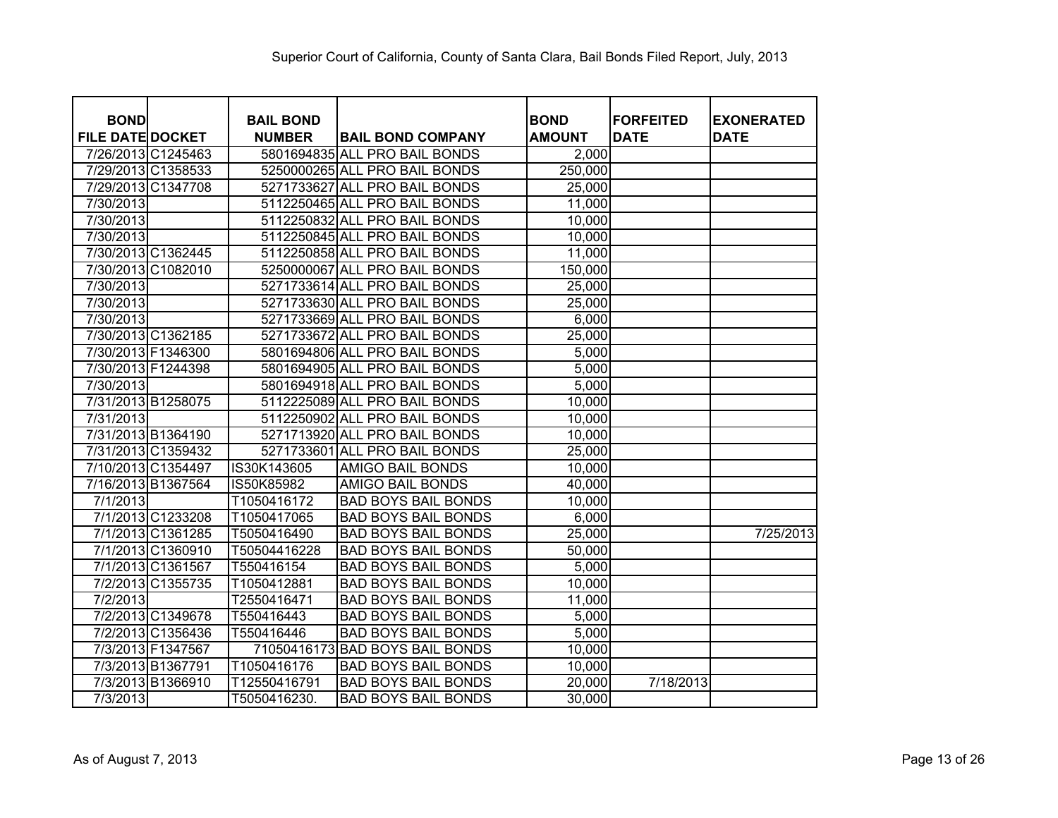| <b>BOND</b>             |                   | <b>BAIL BOND</b> |                                 | <b>BOND</b>   | <b>FORFEITED</b> | <b>EXONERATED</b> |
|-------------------------|-------------------|------------------|---------------------------------|---------------|------------------|-------------------|
| <b>FILE DATE DOCKET</b> |                   | <b>NUMBER</b>    | <b>BAIL BOND COMPANY</b>        | <b>AMOUNT</b> | <b>DATE</b>      | <b>DATE</b>       |
| 7/26/2013 C1245463      |                   |                  | 5801694835 ALL PRO BAIL BONDS   | 2,000         |                  |                   |
| 7/29/2013 C1358533      |                   |                  | 5250000265 ALL PRO BAIL BONDS   | 250,000       |                  |                   |
| 7/29/2013 C1347708      |                   |                  | 5271733627 ALL PRO BAIL BONDS   | 25,000        |                  |                   |
| 7/30/2013               |                   |                  | 5112250465 ALL PRO BAIL BONDS   | 11,000        |                  |                   |
| 7/30/2013               |                   |                  | 5112250832 ALL PRO BAIL BONDS   | 10,000        |                  |                   |
| 7/30/2013               |                   |                  | 5112250845 ALL PRO BAIL BONDS   | 10,000        |                  |                   |
| 7/30/2013 C1362445      |                   |                  | 5112250858 ALL PRO BAIL BONDS   | 11,000        |                  |                   |
| 7/30/2013 C1082010      |                   |                  | 5250000067 ALL PRO BAIL BONDS   | 150,000       |                  |                   |
| 7/30/2013               |                   |                  | 5271733614 ALL PRO BAIL BONDS   | 25,000        |                  |                   |
| 7/30/2013               |                   |                  | 5271733630 ALL PRO BAIL BONDS   | 25,000        |                  |                   |
| 7/30/2013               |                   |                  | 5271733669 ALL PRO BAIL BONDS   | 6,000         |                  |                   |
| 7/30/2013 C1362185      |                   |                  | 5271733672 ALL PRO BAIL BONDS   | 25,000        |                  |                   |
| 7/30/2013 F1346300      |                   |                  | 5801694806 ALL PRO BAIL BONDS   | 5,000         |                  |                   |
| 7/30/2013 F1244398      |                   |                  | 5801694905 ALL PRO BAIL BONDS   | 5,000         |                  |                   |
| 7/30/2013               |                   |                  | 5801694918 ALL PRO BAIL BONDS   | 5,000         |                  |                   |
| 7/31/2013 B1258075      |                   |                  | 5112225089 ALL PRO BAIL BONDS   | 10,000        |                  |                   |
| 7/31/2013               |                   |                  | 5112250902 ALL PRO BAIL BONDS   | 10,000        |                  |                   |
| 7/31/2013 B1364190      |                   |                  | 5271713920 ALL PRO BAIL BONDS   | 10,000        |                  |                   |
| 7/31/2013 C1359432      |                   | 5271733601       | <b>ALL PRO BAIL BONDS</b>       | 25,000        |                  |                   |
| 7/10/2013 C1354497      |                   | IS30K143605      | AMIGO BAIL BONDS                | 10,000        |                  |                   |
| 7/16/2013 B1367564      |                   | IS50K85982       | <b>AMIGO BAIL BONDS</b>         | 40,000        |                  |                   |
| 7/1/2013                |                   | T1050416172      | <b>BAD BOYS BAIL BONDS</b>      | 10,000        |                  |                   |
|                         | 7/1/2013 C1233208 | T1050417065      | <b>BAD BOYS BAIL BONDS</b>      | 6,000         |                  |                   |
|                         | 7/1/2013 C1361285 | T5050416490      | <b>BAD BOYS BAIL BONDS</b>      | 25,000        |                  | 7/25/2013         |
|                         | 7/1/2013 C1360910 | T50504416228     | <b>BAD BOYS BAIL BONDS</b>      | 50,000        |                  |                   |
|                         | 7/1/2013 C1361567 | T550416154       | <b>BAD BOYS BAIL BONDS</b>      | 5,000         |                  |                   |
|                         | 7/2/2013 C1355735 | T1050412881      | <b>BAD BOYS BAIL BONDS</b>      | 10,000        |                  |                   |
| 7/2/2013                |                   | T2550416471      | <b>BAD BOYS BAIL BONDS</b>      | 11,000        |                  |                   |
|                         | 7/2/2013 C1349678 | T550416443       | <b>BAD BOYS BAIL BONDS</b>      | 5,000         |                  |                   |
|                         | 7/2/2013 C1356436 | T550416446       | <b>BAD BOYS BAIL BONDS</b>      | 5,000         |                  |                   |
|                         | 7/3/2013 F1347567 |                  | 71050416173 BAD BOYS BAIL BONDS | 10,000        |                  |                   |
|                         | 7/3/2013 B1367791 | T1050416176      | <b>BAD BOYS BAIL BONDS</b>      | 10,000        |                  |                   |
|                         | 7/3/2013 B1366910 | T12550416791     | <b>BAD BOYS BAIL BONDS</b>      | 20,000        | 7/18/2013        |                   |
| $\overline{7/3}/2013$   |                   | T5050416230.     | <b>BAD BOYS BAIL BONDS</b>      | 30,000        |                  |                   |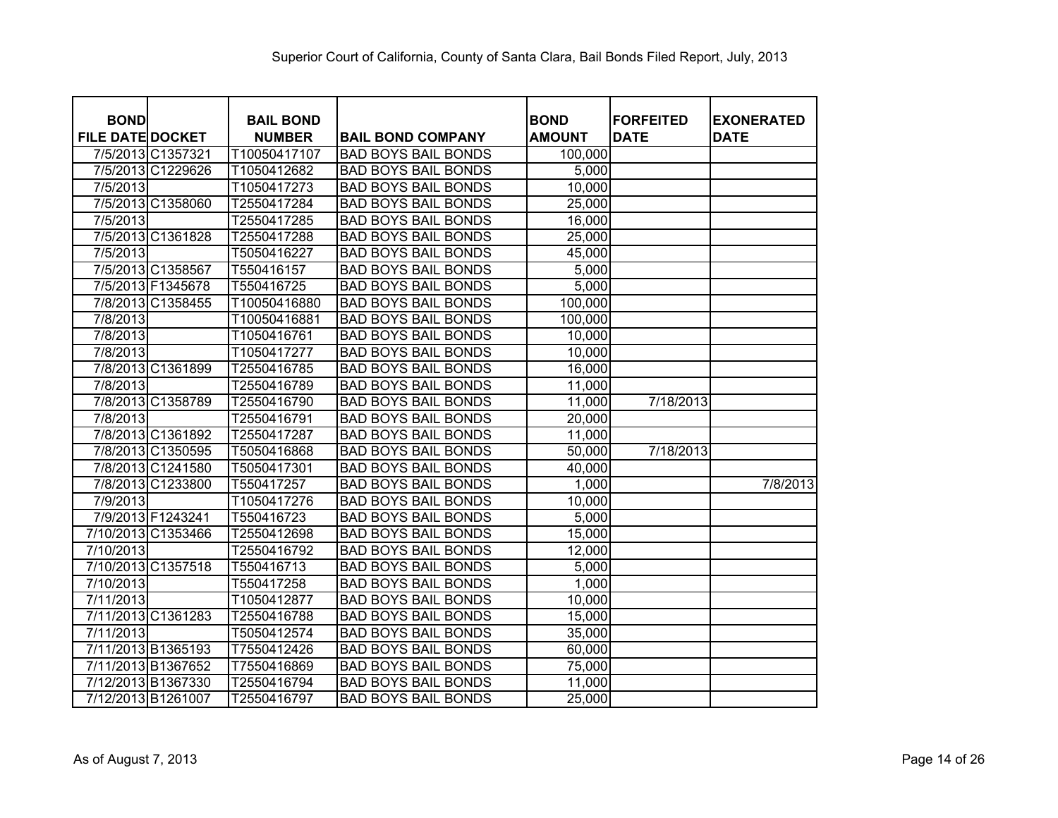|                                        | <b>BAIL BOND</b> |                            | <b>BOND</b>   | <b>FORFEITED</b> |                                  |
|----------------------------------------|------------------|----------------------------|---------------|------------------|----------------------------------|
| <b>BOND</b><br><b>FILE DATE DOCKET</b> | <b>NUMBER</b>    | <b>BAIL BOND COMPANY</b>   | <b>AMOUNT</b> | <b>DATE</b>      | <b>EXONERATED</b><br><b>DATE</b> |
| 7/5/2013 C1357321                      | T10050417107     | <b>BAD BOYS BAIL BONDS</b> | 100,000       |                  |                                  |
| 7/5/2013 C1229626                      | T1050412682      | <b>BAD BOYS BAIL BONDS</b> | 5,000         |                  |                                  |
| 7/5/2013                               | T1050417273      | <b>BAD BOYS BAIL BONDS</b> | 10,000        |                  |                                  |
| 7/5/2013 C1358060                      | T2550417284      | <b>BAD BOYS BAIL BONDS</b> | 25,000        |                  |                                  |
| 7/5/2013                               | T2550417285      | <b>BAD BOYS BAIL BONDS</b> | 16,000        |                  |                                  |
| 7/5/2013 C1361828                      | T2550417288      | <b>BAD BOYS BAIL BONDS</b> | 25,000        |                  |                                  |
| 7/5/2013                               | T5050416227      | <b>BAD BOYS BAIL BONDS</b> | 45,000        |                  |                                  |
| 7/5/2013 C1358567                      | T550416157       | <b>BAD BOYS BAIL BONDS</b> | 5,000         |                  |                                  |
| 7/5/2013 F1345678                      | T550416725       | <b>BAD BOYS BAIL BONDS</b> | 5,000         |                  |                                  |
| 7/8/2013 C1358455                      | T10050416880     | <b>BAD BOYS BAIL BONDS</b> | 100,000       |                  |                                  |
| 7/8/2013                               | T10050416881     | <b>BAD BOYS BAIL BONDS</b> | 100,000       |                  |                                  |
| 7/8/2013                               | T1050416761      | <b>BAD BOYS BAIL BONDS</b> | 10,000        |                  |                                  |
| 7/8/2013                               | T1050417277      | <b>BAD BOYS BAIL BONDS</b> | 10,000        |                  |                                  |
| 7/8/2013 C1361899                      | T2550416785      | <b>BAD BOYS BAIL BONDS</b> | 16,000        |                  |                                  |
| 7/8/2013                               | T2550416789      | <b>BAD BOYS BAIL BONDS</b> | 11,000        |                  |                                  |
| 7/8/2013 C1358789                      | T2550416790      | <b>BAD BOYS BAIL BONDS</b> | 11,000        | 7/18/2013        |                                  |
| 7/8/2013                               | T2550416791      | <b>BAD BOYS BAIL BONDS</b> | 20,000        |                  |                                  |
| 7/8/2013 C1361892                      | T2550417287      | <b>BAD BOYS BAIL BONDS</b> | 11,000        |                  |                                  |
| 7/8/2013 C1350595                      | T5050416868      | <b>BAD BOYS BAIL BONDS</b> | 50,000        | 7/18/2013        |                                  |
| 7/8/2013 C1241580                      | T5050417301      | <b>BAD BOYS BAIL BONDS</b> | 40,000        |                  |                                  |
| 7/8/2013 C1233800                      | T550417257       | <b>BAD BOYS BAIL BONDS</b> | 1,000         |                  | 7/8/2013                         |
| 7/9/2013                               | T1050417276      | <b>BAD BOYS BAIL BONDS</b> | 10,000        |                  |                                  |
| 7/9/2013 F1243241                      | T550416723       | <b>BAD BOYS BAIL BONDS</b> | 5,000         |                  |                                  |
| 7/10/2013 C1353466                     | T2550412698      | <b>BAD BOYS BAIL BONDS</b> | 15,000        |                  |                                  |
| 7/10/2013                              | T2550416792      | <b>BAD BOYS BAIL BONDS</b> | 12,000        |                  |                                  |
| 7/10/2013 C1357518                     | T550416713       | <b>BAD BOYS BAIL BONDS</b> | 5,000         |                  |                                  |
| 7/10/2013                              | T550417258       | <b>BAD BOYS BAIL BONDS</b> | 1,000         |                  |                                  |
| 7/11/2013                              | T1050412877      | <b>BAD BOYS BAIL BONDS</b> | 10,000        |                  |                                  |
| 7/11/2013 C1361283                     | T2550416788      | <b>BAD BOYS BAIL BONDS</b> | 15,000        |                  |                                  |
| 7/11/2013                              | T5050412574      | <b>BAD BOYS BAIL BONDS</b> | 35,000        |                  |                                  |
| 7/11/2013 B1365193                     | T7550412426      | <b>BAD BOYS BAIL BONDS</b> | 60,000        |                  |                                  |
| 7/11/2013 B1367652                     | T7550416869      | <b>BAD BOYS BAIL BONDS</b> | 75,000        |                  |                                  |
| 7/12/2013 B1367330                     | T2550416794      | <b>BAD BOYS BAIL BONDS</b> | 11,000        |                  |                                  |
| 7/12/2013 B1261007                     | T2550416797      | <b>BAD BOYS BAIL BONDS</b> | 25,000        |                  |                                  |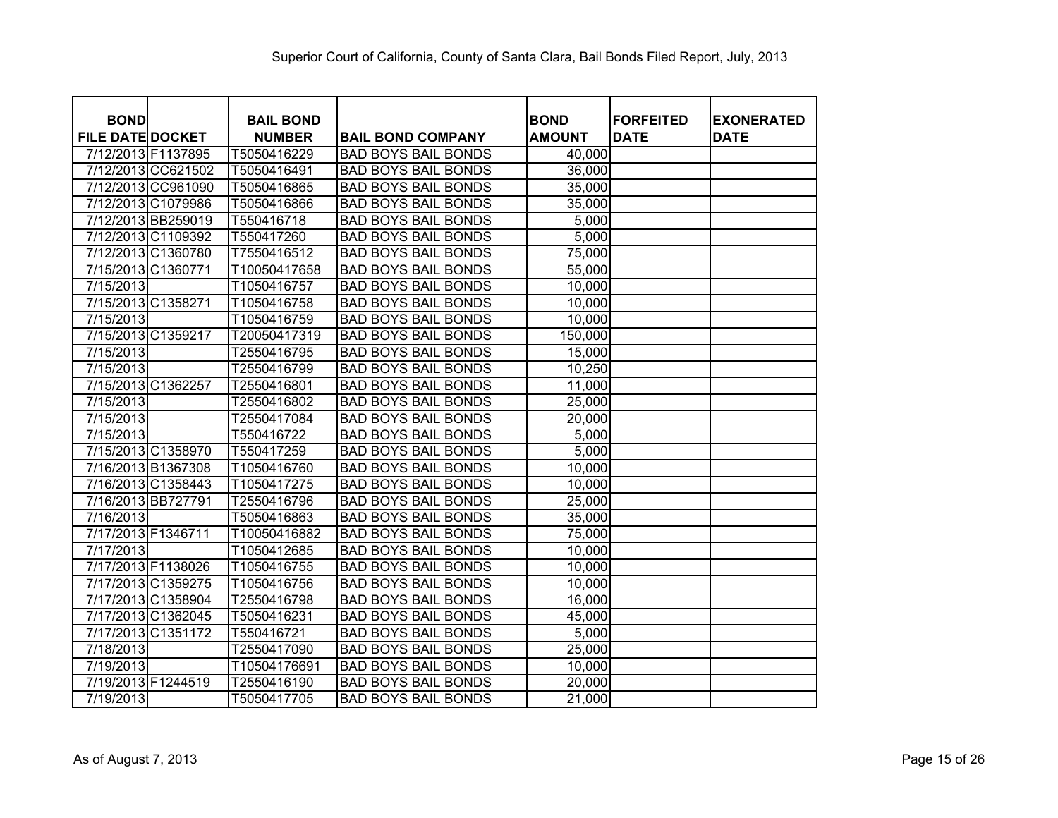| <b>BOND</b><br><b>FILE DATE DOCKET</b> |                    | <b>BAIL BOND</b><br><b>NUMBER</b> | <b>BAIL BOND COMPANY</b>   | <b>BOND</b><br><b>AMOUNT</b> | <b>FORFEITED</b><br><b>DATE</b> | <b>EXONERATED</b><br><b>DATE</b> |
|----------------------------------------|--------------------|-----------------------------------|----------------------------|------------------------------|---------------------------------|----------------------------------|
| 7/12/2013 F1137895                     |                    | T5050416229                       | <b>BAD BOYS BAIL BONDS</b> | 40,000                       |                                 |                                  |
|                                        | 7/12/2013 CC621502 | T5050416491                       | <b>BAD BOYS BAIL BONDS</b> | 36,000                       |                                 |                                  |
|                                        | 7/12/2013 CC961090 | T5050416865                       | <b>BAD BOYS BAIL BONDS</b> | 35,000                       |                                 |                                  |
|                                        | 7/12/2013 C1079986 | T5050416866                       | <b>BAD BOYS BAIL BONDS</b> | 35,000                       |                                 |                                  |
|                                        | 7/12/2013 BB259019 | T550416718                        | <b>BAD BOYS BAIL BONDS</b> | 5,000                        |                                 |                                  |
|                                        | 7/12/2013 C1109392 | T550417260                        | <b>BAD BOYS BAIL BONDS</b> | 5,000                        |                                 |                                  |
|                                        | 7/12/2013 C1360780 | T7550416512                       | <b>BAD BOYS BAIL BONDS</b> | 75,000                       |                                 |                                  |
| 7/15/2013 C1360771                     |                    | T10050417658                      | <b>BAD BOYS BAIL BONDS</b> | 55,000                       |                                 |                                  |
| 7/15/2013                              |                    | T1050416757                       | <b>BAD BOYS BAIL BONDS</b> | 10,000                       |                                 |                                  |
| 7/15/2013 C1358271                     |                    | T1050416758                       | <b>BAD BOYS BAIL BONDS</b> | 10,000                       |                                 |                                  |
| 7/15/2013                              |                    | T1050416759                       | <b>BAD BOYS BAIL BONDS</b> | 10,000                       |                                 |                                  |
| 7/15/2013 C1359217                     |                    | T20050417319                      | <b>BAD BOYS BAIL BONDS</b> | 150,000                      |                                 |                                  |
| 7/15/2013                              |                    | T2550416795                       | <b>BAD BOYS BAIL BONDS</b> | 15,000                       |                                 |                                  |
| 7/15/2013                              |                    | T2550416799                       | <b>BAD BOYS BAIL BONDS</b> | 10,250                       |                                 |                                  |
| 7/15/2013 C1362257                     |                    | T2550416801                       | <b>BAD BOYS BAIL BONDS</b> | 11,000                       |                                 |                                  |
| 7/15/2013                              |                    | T2550416802                       | <b>BAD BOYS BAIL BONDS</b> | 25,000                       |                                 |                                  |
| 7/15/2013                              |                    | T2550417084                       | <b>BAD BOYS BAIL BONDS</b> | 20,000                       |                                 |                                  |
| 7/15/2013                              |                    | T550416722                        | <b>BAD BOYS BAIL BONDS</b> | 5,000                        |                                 |                                  |
|                                        | 7/15/2013 C1358970 | T550417259                        | <b>BAD BOYS BAIL BONDS</b> | 5,000                        |                                 |                                  |
| 7/16/2013 B1367308                     |                    | T1050416760                       | <b>BAD BOYS BAIL BONDS</b> | 10,000                       |                                 |                                  |
|                                        | 7/16/2013 C1358443 | T1050417275                       | <b>BAD BOYS BAIL BONDS</b> | 10,000                       |                                 |                                  |
| 7/16/2013 BB727791                     |                    | T2550416796                       | <b>BAD BOYS BAIL BONDS</b> | 25,000                       |                                 |                                  |
| 7/16/2013                              |                    | T5050416863                       | <b>BAD BOYS BAIL BONDS</b> | 35,000                       |                                 |                                  |
| 7/17/2013 F1346711                     |                    | T10050416882                      | <b>BAD BOYS BAIL BONDS</b> | 75,000                       |                                 |                                  |
| 7/17/2013                              |                    | T1050412685                       | <b>BAD BOYS BAIL BONDS</b> | 10,000                       |                                 |                                  |
| 7/17/2013 F1138026                     |                    | T1050416755                       | <b>BAD BOYS BAIL BONDS</b> | 10,000                       |                                 |                                  |
|                                        | 7/17/2013 C1359275 | T1050416756                       | <b>BAD BOYS BAIL BONDS</b> | 10,000                       |                                 |                                  |
|                                        | 7/17/2013 C1358904 | T2550416798                       | <b>BAD BOYS BAIL BONDS</b> | 16,000                       |                                 |                                  |
|                                        | 7/17/2013 C1362045 | T5050416231                       | <b>BAD BOYS BAIL BONDS</b> | 45,000                       |                                 |                                  |
|                                        | 7/17/2013 C1351172 | T550416721                        | <b>BAD BOYS BAIL BONDS</b> | 5,000                        |                                 |                                  |
| 7/18/2013                              |                    | T2550417090                       | <b>BAD BOYS BAIL BONDS</b> | 25,000                       |                                 |                                  |
| 7/19/2013                              |                    | T10504176691                      | <b>BAD BOYS BAIL BONDS</b> | 10,000                       |                                 |                                  |
| 7/19/2013 F1244519                     |                    | T2550416190                       | <b>BAD BOYS BAIL BONDS</b> | 20,000                       |                                 |                                  |
| 7/19/2013                              |                    | T5050417705                       | <b>BAD BOYS BAIL BONDS</b> | 21,000                       |                                 |                                  |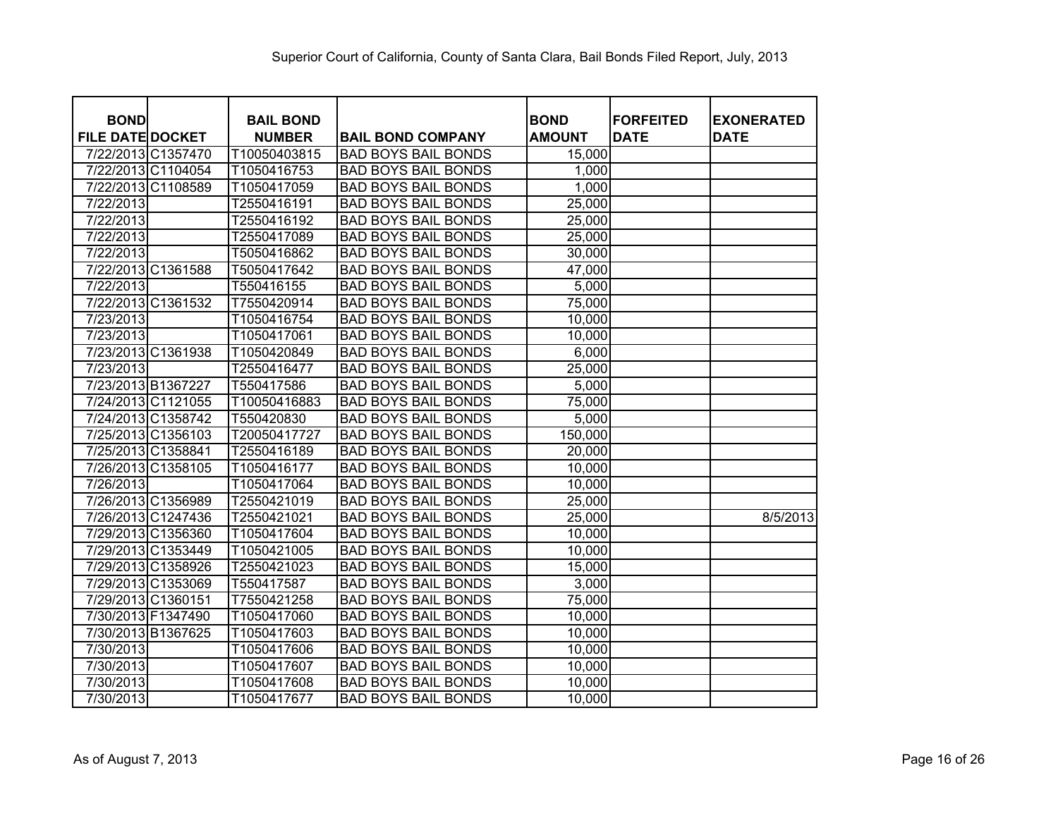| <b>BOND</b>             |                    | <b>BAIL BOND</b> |                            | <b>BOND</b>   | <b>FORFEITED</b> | <b>EXONERATED</b> |
|-------------------------|--------------------|------------------|----------------------------|---------------|------------------|-------------------|
| <b>FILE DATE DOCKET</b> |                    | <b>NUMBER</b>    | <b>BAIL BOND COMPANY</b>   | <b>AMOUNT</b> | <b>DATE</b>      | <b>DATE</b>       |
|                         | 7/22/2013 C1357470 | T10050403815     | <b>BAD BOYS BAIL BONDS</b> | 15,000        |                  |                   |
|                         | 7/22/2013 C1104054 | T1050416753      | <b>BAD BOYS BAIL BONDS</b> | 1,000         |                  |                   |
|                         | 7/22/2013 C1108589 | T1050417059      | <b>BAD BOYS BAIL BONDS</b> | 1,000         |                  |                   |
| 7/22/2013               |                    | T2550416191      | <b>BAD BOYS BAIL BONDS</b> | 25,000        |                  |                   |
| 7/22/2013               |                    | T2550416192      | <b>BAD BOYS BAIL BONDS</b> | 25,000        |                  |                   |
| 7/22/2013               |                    | T2550417089      | <b>BAD BOYS BAIL BONDS</b> | 25,000        |                  |                   |
| 7/22/2013               |                    | T5050416862      | <b>BAD BOYS BAIL BONDS</b> | 30,000        |                  |                   |
|                         | 7/22/2013 C1361588 | T5050417642      | <b>BAD BOYS BAIL BONDS</b> | 47,000        |                  |                   |
| 7/22/2013               |                    | T550416155       | <b>BAD BOYS BAIL BONDS</b> | 5,000         |                  |                   |
|                         | 7/22/2013 C1361532 | T7550420914      | <b>BAD BOYS BAIL BONDS</b> | 75,000        |                  |                   |
| 7/23/2013               |                    | T1050416754      | <b>BAD BOYS BAIL BONDS</b> | 10,000        |                  |                   |
| 7/23/2013               |                    | T1050417061      | <b>BAD BOYS BAIL BONDS</b> | 10,000        |                  |                   |
|                         | 7/23/2013 C1361938 | T1050420849      | <b>BAD BOYS BAIL BONDS</b> | 6,000         |                  |                   |
| 7/23/2013               |                    | T2550416477      | <b>BAD BOYS BAIL BONDS</b> | 25,000        |                  |                   |
| 7/23/2013 B1367227      |                    | T550417586       | <b>BAD BOYS BAIL BONDS</b> | 5,000         |                  |                   |
|                         | 7/24/2013 C1121055 | T10050416883     | <b>BAD BOYS BAIL BONDS</b> | 75,000        |                  |                   |
|                         | 7/24/2013 C1358742 | T550420830       | <b>BAD BOYS BAIL BONDS</b> | 5,000         |                  |                   |
|                         | 7/25/2013 C1356103 | T20050417727     | <b>BAD BOYS BAIL BONDS</b> | 150,000       |                  |                   |
| 7/25/2013 C1358841      |                    | T2550416189      | <b>BAD BOYS BAIL BONDS</b> | 20,000        |                  |                   |
|                         | 7/26/2013 C1358105 | T1050416177      | <b>BAD BOYS BAIL BONDS</b> | 10,000        |                  |                   |
| 7/26/2013               |                    | T1050417064      | <b>BAD BOYS BAIL BONDS</b> | 10,000        |                  |                   |
|                         | 7/26/2013 C1356989 | T2550421019      | <b>BAD BOYS BAIL BONDS</b> | 25,000        |                  |                   |
|                         | 7/26/2013 C1247436 | T2550421021      | <b>BAD BOYS BAIL BONDS</b> | 25,000        |                  | 8/5/2013          |
|                         | 7/29/2013 C1356360 | T1050417604      | <b>BAD BOYS BAIL BONDS</b> | 10,000        |                  |                   |
|                         | 7/29/2013 C1353449 | T1050421005      | <b>BAD BOYS BAIL BONDS</b> | 10,000        |                  |                   |
|                         | 7/29/2013 C1358926 | T2550421023      | <b>BAD BOYS BAIL BONDS</b> | 15,000        |                  |                   |
|                         | 7/29/2013 C1353069 | T550417587       | <b>BAD BOYS BAIL BONDS</b> | 3,000         |                  |                   |
| 7/29/2013 C1360151      |                    | T7550421258      | <b>BAD BOYS BAIL BONDS</b> | 75,000        |                  |                   |
| 7/30/2013 F1347490      |                    | T1050417060      | <b>BAD BOYS BAIL BONDS</b> | 10,000        |                  |                   |
|                         | 7/30/2013 B1367625 | T1050417603      | <b>BAD BOYS BAIL BONDS</b> | 10,000        |                  |                   |
| 7/30/2013               |                    | T1050417606      | <b>BAD BOYS BAIL BONDS</b> | 10,000        |                  |                   |
| 7/30/2013               |                    | T1050417607      | <b>BAD BOYS BAIL BONDS</b> | 10,000        |                  |                   |
| 7/30/2013               |                    | T1050417608      | <b>BAD BOYS BAIL BONDS</b> | 10,000        |                  |                   |
| 7/30/2013               |                    | T1050417677      | <b>BAD BOYS BAIL BONDS</b> | 10,000        |                  |                   |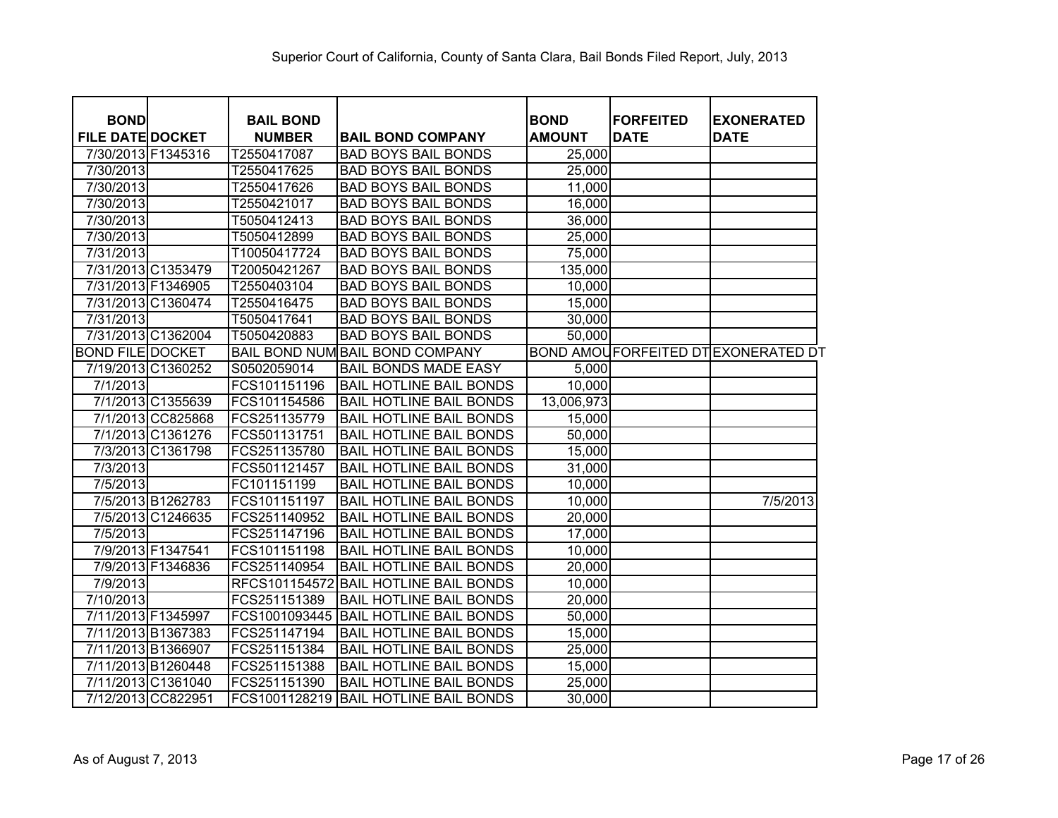| <b>BOND</b>             |                    | <b>BAIL BOND</b> |                                        | <b>BOND</b>   | <b>FORFEITED</b> | <b>EXONERATED</b>                         |
|-------------------------|--------------------|------------------|----------------------------------------|---------------|------------------|-------------------------------------------|
| <b>FILE DATE DOCKET</b> |                    | <b>NUMBER</b>    | <b>BAIL BOND COMPANY</b>               | <b>AMOUNT</b> | <b>DATE</b>      | <b>DATE</b>                               |
| 7/30/2013 F1345316      |                    | T2550417087      | <b>BAD BOYS BAIL BONDS</b>             | 25,000        |                  |                                           |
| 7/30/2013               |                    | T2550417625      | <b>BAD BOYS BAIL BONDS</b>             | 25,000        |                  |                                           |
| 7/30/2013               |                    | T2550417626      | <b>BAD BOYS BAIL BONDS</b>             | 11,000        |                  |                                           |
| 7/30/2013               |                    | T2550421017      | <b>BAD BOYS BAIL BONDS</b>             | 16,000        |                  |                                           |
| 7/30/2013               |                    | T5050412413      | <b>BAD BOYS BAIL BONDS</b>             | 36,000        |                  |                                           |
| 7/30/2013               |                    | T5050412899      | <b>BAD BOYS BAIL BONDS</b>             | 25,000        |                  |                                           |
| 7/31/2013               |                    | T10050417724     | <b>BAD BOYS BAIL BONDS</b>             | 75,000        |                  |                                           |
|                         | 7/31/2013 C1353479 | T20050421267     | <b>BAD BOYS BAIL BONDS</b>             | 135,000       |                  |                                           |
|                         | 7/31/2013 F1346905 | T2550403104      | <b>BAD BOYS BAIL BONDS</b>             | 10,000        |                  |                                           |
|                         | 7/31/2013 C1360474 | T2550416475      | <b>BAD BOYS BAIL BONDS</b>             | 15,000        |                  |                                           |
| 7/31/2013               |                    | T5050417641      | <b>BAD BOYS BAIL BONDS</b>             | 30,000        |                  |                                           |
|                         | 7/31/2013 C1362004 | T5050420883      | <b>BAD BOYS BAIL BONDS</b>             | 50,000        |                  |                                           |
| <b>BOND FILE DOCKET</b> |                    |                  | <b>BAIL BOND NUM BAIL BOND COMPANY</b> |               |                  | <b>BOND AMOUFORFEITED DTEXONERATED DT</b> |
|                         | 7/19/2013 C1360252 | S0502059014      | <b>BAIL BONDS MADE EASY</b>            | 5,000         |                  |                                           |
| 7/1/2013                |                    | FCS101151196     | <b>BAIL HOTLINE BAIL BONDS</b>         | 10,000        |                  |                                           |
|                         | 7/1/2013 C1355639  | FCS101154586     | <b>BAIL HOTLINE BAIL BONDS</b>         | 13,006,973    |                  |                                           |
|                         | 7/1/2013 CC825868  | FCS251135779     | <b>BAIL HOTLINE BAIL BONDS</b>         | 15,000        |                  |                                           |
|                         | 7/1/2013 C1361276  | FCS501131751     | <b>BAIL HOTLINE BAIL BONDS</b>         | 50,000        |                  |                                           |
|                         | 7/3/2013 C1361798  | FCS251135780     | <b>BAIL HOTLINE BAIL BONDS</b>         | 15,000        |                  |                                           |
| 7/3/2013                |                    | FCS501121457     | <b>BAIL HOTLINE BAIL BONDS</b>         | 31,000        |                  |                                           |
| 7/5/2013                |                    | FC101151199      | <b>BAIL HOTLINE BAIL BONDS</b>         | 10,000        |                  |                                           |
|                         | 7/5/2013 B1262783  | FCS101151197     | <b>BAIL HOTLINE BAIL BONDS</b>         | 10,000        |                  | 7/5/2013                                  |
|                         | 7/5/2013 C1246635  | FCS251140952     | <b>BAIL HOTLINE BAIL BONDS</b>         | 20,000        |                  |                                           |
| 7/5/2013                |                    | FCS251147196     | <b>BAIL HOTLINE BAIL BONDS</b>         | 17,000        |                  |                                           |
|                         | 7/9/2013 F1347541  | FCS101151198     | <b>BAIL HOTLINE BAIL BONDS</b>         | 10,000        |                  |                                           |
|                         | 7/9/2013 F1346836  | FCS251140954     | <b>BAIL HOTLINE BAIL BONDS</b>         | 20,000        |                  |                                           |
| 7/9/2013                |                    |                  | RFCS101154572 BAIL HOTLINE BAIL BONDS  | 10,000        |                  |                                           |
| 7/10/2013               |                    | FCS251151389     | <b>BAIL HOTLINE BAIL BONDS</b>         | 20,000        |                  |                                           |
| 7/11/2013 F1345997      |                    | FCS1001093445    | <b>BAIL HOTLINE BAIL BONDS</b>         | 50,000        |                  |                                           |
|                         | 7/11/2013 B1367383 | FCS251147194     | <b>BAIL HOTLINE BAIL BONDS</b>         | 15,000        |                  |                                           |
| 7/11/2013 B1366907      |                    | FCS251151384     | <b>BAIL HOTLINE BAIL BONDS</b>         | 25,000        |                  |                                           |
|                         | 7/11/2013 B1260448 | FCS251151388     | <b>BAIL HOTLINE BAIL BONDS</b>         | 15,000        |                  |                                           |
|                         | 7/11/2013 C1361040 | FCS251151390     | <b>BAIL HOTLINE BAIL BONDS</b>         | 25,000        |                  |                                           |
|                         | 7/12/2013 CC822951 | FCS1001128219    | <b>BAIL HOTLINE BAIL BONDS</b>         | 30,000        |                  |                                           |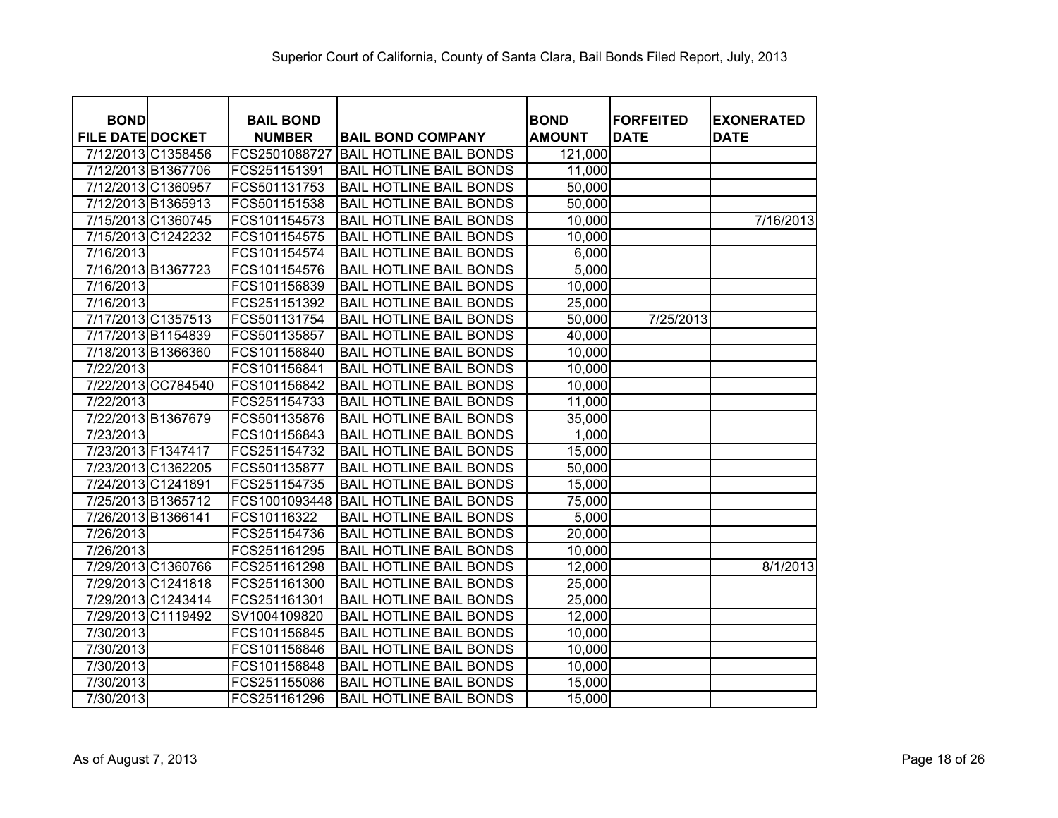| <b>BOND</b>             | <b>BAIL BOND</b> |                                | <b>BOND</b>   | <b>FORFEITED</b> | <b>EXONERATED</b> |
|-------------------------|------------------|--------------------------------|---------------|------------------|-------------------|
| <b>FILE DATE DOCKET</b> | <b>NUMBER</b>    | <b>BAIL BOND COMPANY</b>       | <b>AMOUNT</b> | <b>DATE</b>      | <b>DATE</b>       |
| 7/12/2013 C1358456      | FCS2501088727    | <b>BAIL HOTLINE BAIL BONDS</b> | 121,000       |                  |                   |
| 7/12/2013 B1367706      | FCS251151391     | <b>BAIL HOTLINE BAIL BONDS</b> | 11,000        |                  |                   |
| 7/12/2013 C1360957      | FCS501131753     | <b>BAIL HOTLINE BAIL BONDS</b> | 50,000        |                  |                   |
| 7/12/2013 B1365913      | FCS501151538     | <b>BAIL HOTLINE BAIL BONDS</b> | 50,000        |                  |                   |
| 7/15/2013 C1360745      | FCS101154573     | <b>BAIL HOTLINE BAIL BONDS</b> | 10,000        |                  | 7/16/2013         |
| 7/15/2013 C1242232      | FCS101154575     | <b>BAIL HOTLINE BAIL BONDS</b> | 10,000        |                  |                   |
| 7/16/2013               | FCS101154574     | <b>BAIL HOTLINE BAIL BONDS</b> | 6,000         |                  |                   |
| 7/16/2013 B1367723      | FCS101154576     | <b>BAIL HOTLINE BAIL BONDS</b> | 5,000         |                  |                   |
| 7/16/2013               | FCS101156839     | <b>BAIL HOTLINE BAIL BONDS</b> | 10,000        |                  |                   |
| 7/16/2013               | FCS251151392     | <b>BAIL HOTLINE BAIL BONDS</b> | 25,000        |                  |                   |
| 7/17/2013 C1357513      | FCS501131754     | <b>BAIL HOTLINE BAIL BONDS</b> | 50,000        | 7/25/2013        |                   |
| 7/17/2013 B1154839      | FCS501135857     | <b>BAIL HOTLINE BAIL BONDS</b> | 40,000        |                  |                   |
| 7/18/2013 B1366360      | FCS101156840     | <b>BAIL HOTLINE BAIL BONDS</b> | 10,000        |                  |                   |
| 7/22/2013               | FCS101156841     | <b>BAIL HOTLINE BAIL BONDS</b> | 10,000        |                  |                   |
| 7/22/2013 CC784540      | FCS101156842     | <b>BAIL HOTLINE BAIL BONDS</b> | 10,000        |                  |                   |
| 7/22/2013               | FCS251154733     | <b>BAIL HOTLINE BAIL BONDS</b> | 11,000        |                  |                   |
| 7/22/2013 B1367679      | FCS501135876     | <b>BAIL HOTLINE BAIL BONDS</b> | 35,000        |                  |                   |
| 7/23/2013               | FCS101156843     | <b>BAIL HOTLINE BAIL BONDS</b> | 1,000         |                  |                   |
| 7/23/2013 F1347417      | FCS251154732     | <b>BAIL HOTLINE BAIL BONDS</b> | 15,000        |                  |                   |
| 7/23/2013 C1362205      | FCS501135877     | <b>BAIL HOTLINE BAIL BONDS</b> | 50,000        |                  |                   |
| 7/24/2013 C1241891      | FCS251154735     | <b>BAIL HOTLINE BAIL BONDS</b> | 15,000        |                  |                   |
| 7/25/2013 B1365712      | FCS1001093448    | <b>BAIL HOTLINE BAIL BONDS</b> | 75,000        |                  |                   |
| 7/26/2013 B1366141      | FCS10116322      | <b>BAIL HOTLINE BAIL BONDS</b> | 5,000         |                  |                   |
| 7/26/2013               | FCS251154736     | <b>BAIL HOTLINE BAIL BONDS</b> | 20,000        |                  |                   |
| 7/26/2013               | FCS251161295     | <b>BAIL HOTLINE BAIL BONDS</b> | 10,000        |                  |                   |
| 7/29/2013 C1360766      | FCS251161298     | <b>BAIL HOTLINE BAIL BONDS</b> | 12,000        |                  | 8/1/2013          |
| 7/29/2013 C1241818      | FCS251161300     | <b>BAIL HOTLINE BAIL BONDS</b> | 25,000        |                  |                   |
| 7/29/2013 C1243414      | FCS251161301     | <b>BAIL HOTLINE BAIL BONDS</b> | 25,000        |                  |                   |
| 7/29/2013 C1119492      | SV1004109820     | <b>BAIL HOTLINE BAIL BONDS</b> | 12,000        |                  |                   |
| 7/30/2013               | FCS101156845     | <b>BAIL HOTLINE BAIL BONDS</b> | 10,000        |                  |                   |
| 7/30/2013               | FCS101156846     | <b>BAIL HOTLINE BAIL BONDS</b> | 10,000        |                  |                   |
| 7/30/2013               | FCS101156848     | <b>BAIL HOTLINE BAIL BONDS</b> | 10,000        |                  |                   |
| 7/30/2013               | FCS251155086     | <b>BAIL HOTLINE BAIL BONDS</b> | 15,000        |                  |                   |
| 7/30/2013               | FCS251161296     | <b>BAIL HOTLINE BAIL BONDS</b> | 15,000        |                  |                   |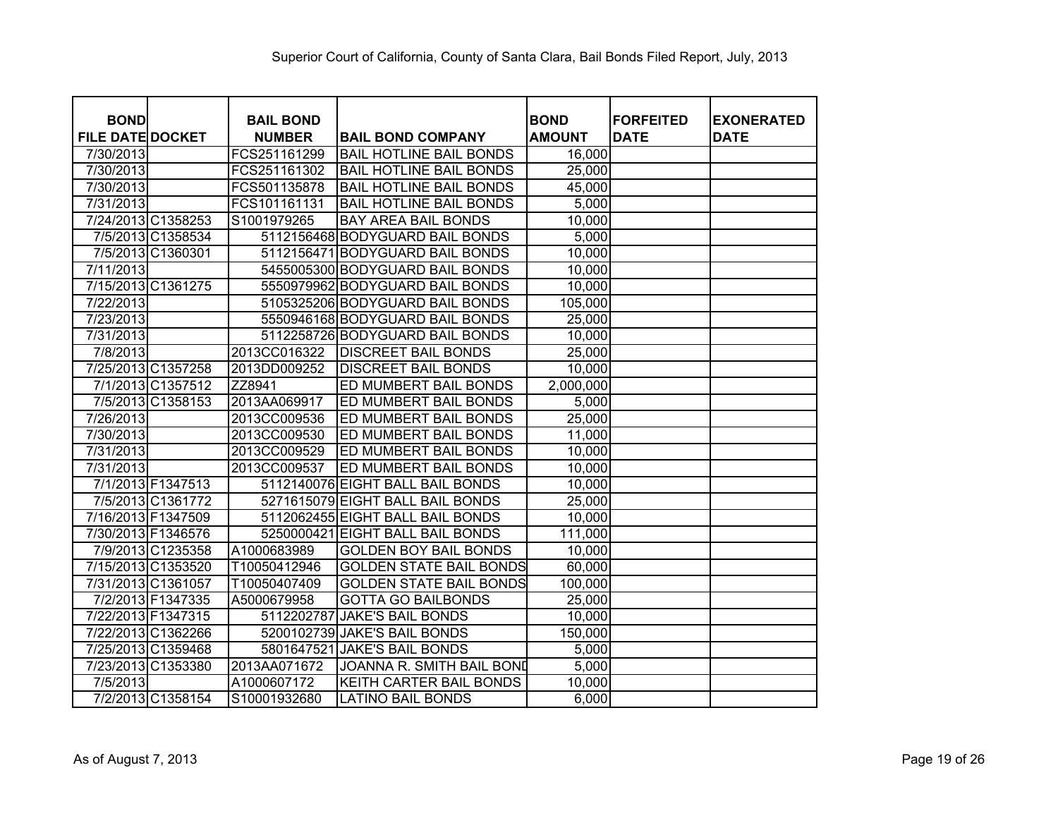|                                        |                                   |                                  | <b>BOND</b>   | <b>FORFEITED</b> |                                  |
|----------------------------------------|-----------------------------------|----------------------------------|---------------|------------------|----------------------------------|
| <b>BOND</b><br><b>FILE DATE DOCKET</b> | <b>BAIL BOND</b><br><b>NUMBER</b> | <b>BAIL BOND COMPANY</b>         | <b>AMOUNT</b> | <b>DATE</b>      | <b>EXONERATED</b><br><b>DATE</b> |
| 7/30/2013                              | FCS251161299                      | <b>BAIL HOTLINE BAIL BONDS</b>   | 16,000        |                  |                                  |
| 7/30/2013                              | FCS251161302                      | <b>BAIL HOTLINE BAIL BONDS</b>   | 25,000        |                  |                                  |
| 7/30/2013                              | FCS501135878                      | <b>BAIL HOTLINE BAIL BONDS</b>   | 45,000        |                  |                                  |
| 7/31/2013                              | FCS101161131                      | <b>BAIL HOTLINE BAIL BONDS</b>   | 5,000         |                  |                                  |
| 7/24/2013 C1358253                     | S1001979265                       | <b>BAY AREA BAIL BONDS</b>       | 10,000        |                  |                                  |
| 7/5/2013 C1358534                      |                                   | 5112156468 BODYGUARD BAIL BONDS  | 5,000         |                  |                                  |
| 7/5/2013 C1360301                      |                                   | 5112156471 BODYGUARD BAIL BONDS  | 10,000        |                  |                                  |
| 7/11/2013                              |                                   | 5455005300 BODYGUARD BAIL BONDS  | 10,000        |                  |                                  |
| 7/15/2013 C1361275                     |                                   | 5550979962 BODYGUARD BAIL BONDS  | 10,000        |                  |                                  |
| 7/22/2013                              |                                   | 5105325206 BODYGUARD BAIL BONDS  | 105,000       |                  |                                  |
| 7/23/2013                              |                                   | 5550946168 BODYGUARD BAIL BONDS  | 25,000        |                  |                                  |
| 7/31/2013                              |                                   | 5112258726 BODYGUARD BAIL BONDS  | 10,000        |                  |                                  |
| 7/8/2013                               | 2013CC016322                      | <b>DISCREET BAIL BONDS</b>       | 25,000        |                  |                                  |
| 7/25/2013 C1357258                     | 2013DD009252                      | <b>DISCREET BAIL BONDS</b>       | 10,000        |                  |                                  |
| 7/1/2013 C1357512                      | ZZ8941                            | ED MUMBERT BAIL BONDS            | 2,000,000     |                  |                                  |
| 7/5/2013 C1358153                      | 2013AA069917                      | ED MUMBERT BAIL BONDS            | 5,000         |                  |                                  |
| 7/26/2013                              | 2013CC009536                      | ED MUMBERT BAIL BONDS            | 25,000        |                  |                                  |
| 7/30/2013                              | 2013CC009530                      | ED MUMBERT BAIL BONDS            | 11,000        |                  |                                  |
| 7/31/2013                              | 2013CC009529                      | ED MUMBERT BAIL BONDS            | 10,000        |                  |                                  |
| 7/31/2013                              | 2013CC009537                      | ED MUMBERT BAIL BONDS            | 10,000        |                  |                                  |
| 7/1/2013 F1347513                      |                                   | 5112140076 EIGHT BALL BAIL BONDS | 10,000        |                  |                                  |
| 7/5/2013 C1361772                      |                                   | 5271615079 EIGHT BALL BAIL BONDS | 25,000        |                  |                                  |
| 7/16/2013 F1347509                     |                                   | 5112062455 EIGHT BALL BAIL BONDS | 10,000        |                  |                                  |
| 7/30/2013 F1346576                     | 5250000421                        | <b>EIGHT BALL BAIL BONDS</b>     | 111,000       |                  |                                  |
| 7/9/2013 C1235358                      | A1000683989                       | <b>GOLDEN BOY BAIL BONDS</b>     | 10,000        |                  |                                  |
| 7/15/2013 C1353520                     | T10050412946                      | <b>GOLDEN STATE BAIL BONDS</b>   | 60,000        |                  |                                  |
| 7/31/2013 C1361057                     | T10050407409                      | <b>GOLDEN STATE BAIL BONDS</b>   | 100,000       |                  |                                  |
| 7/2/2013 F1347335                      | A5000679958                       | <b>GOTTA GO BAILBONDS</b>        | 25,000        |                  |                                  |
| 7/22/2013 F1347315                     | 5112202787                        | <b>JAKE'S BAIL BONDS</b>         | 10,000        |                  |                                  |
| 7/22/2013 C1362266                     |                                   | 5200102739 JAKE'S BAIL BONDS     | 150,000       |                  |                                  |
| 7/25/2013 C1359468                     | 5801647521                        | <b>JAKE'S BAIL BONDS</b>         | 5,000         |                  |                                  |
| 7/23/2013 C1353380                     | 2013AA071672                      | JOANNA R. SMITH BAIL BOND        | 5,000         |                  |                                  |
| 7/5/2013                               | A1000607172                       | KEITH CARTER BAIL BONDS          | 10,000        |                  |                                  |
| 7/2/2013 C1358154                      | S10001932680                      | <b>LATINO BAIL BONDS</b>         | 6,000         |                  |                                  |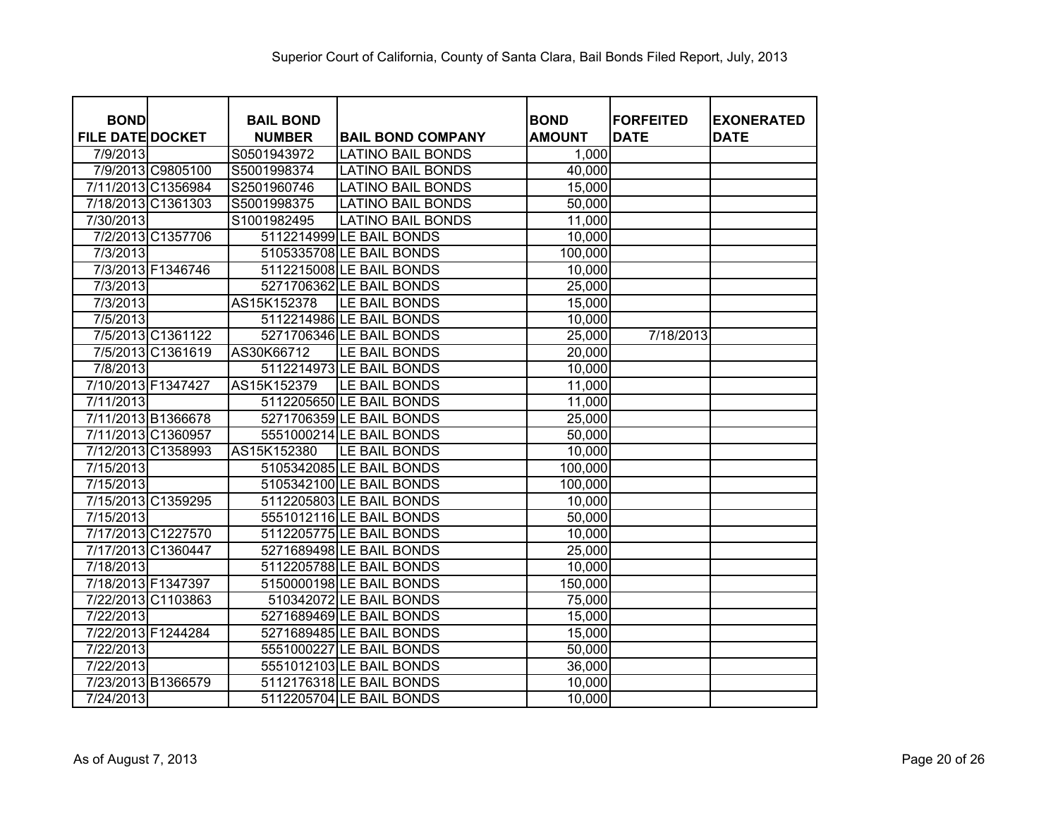| <b>BOND</b>                   | <b>BAIL BOND</b>           |                                                      | <b>BOND</b>     | <b>IFORFEITED</b> | <b>EXONERATED</b> |
|-------------------------------|----------------------------|------------------------------------------------------|-----------------|-------------------|-------------------|
| <b>FILE DATE DOCKET</b>       | <b>NUMBER</b>              | <b>BAIL BOND COMPANY</b>                             | <b>AMOUNT</b>   | <b>DATE</b>       | <b>DATE</b>       |
| 7/9/2013<br>7/9/2013 C9805100 | S0501943972<br>S5001998374 | <b>LATINO BAIL BONDS</b><br><b>LATINO BAIL BONDS</b> | 1,000<br>40,000 |                   |                   |
|                               |                            |                                                      |                 |                   |                   |
| 7/11/2013 C1356984            | S2501960746                | <b>LATINO BAIL BONDS</b>                             | 15,000          |                   |                   |
| 7/18/2013 C1361303            | S5001998375                | <b>LATINO BAIL BONDS</b>                             | 50,000          |                   |                   |
| 7/30/2013                     | S1001982495                | <b>LATINO BAIL BONDS</b>                             | 11,000          |                   |                   |
| 7/2/2013 C1357706             |                            | 5112214999 LE BAIL BONDS                             | 10,000          |                   |                   |
| 7/3/2013                      |                            | 5105335708 LE BAIL BONDS                             | 100,000         |                   |                   |
| 7/3/2013 F1346746             |                            | 5112215008 LE BAIL BONDS                             | 10,000          |                   |                   |
| 7/3/2013                      |                            | 5271706362 LE BAIL BONDS                             | 25,000          |                   |                   |
| 7/3/2013                      | AS15K152378                | LE BAIL BONDS                                        | 15,000          |                   |                   |
| 7/5/2013                      |                            | 5112214986 LE BAIL BONDS                             | 10,000          |                   |                   |
| 7/5/2013 C1361122             |                            | 5271706346 LE BAIL BONDS                             | 25,000          | 7/18/2013         |                   |
| 7/5/2013 C1361619             | AS30K66712                 | LE BAIL BONDS                                        | 20,000          |                   |                   |
| 7/8/2013                      |                            | 5112214973 LE BAIL BONDS                             | 10,000          |                   |                   |
| 7/10/2013 F1347427            | AS15K152379                | LE BAIL BONDS                                        | 11,000          |                   |                   |
| 7/11/2013                     |                            | 5112205650 LE BAIL BONDS                             | 11,000          |                   |                   |
| 7/11/2013 B1366678            |                            | 5271706359 LE BAIL BONDS                             | 25,000          |                   |                   |
| 7/11/2013 C1360957            |                            | 5551000214 LE BAIL BONDS                             | 50,000          |                   |                   |
| 7/12/2013 C1358993            | AS15K152380                | LE BAIL BONDS                                        | 10,000          |                   |                   |
| 7/15/2013                     |                            | 5105342085 LE BAIL BONDS                             | 100,000         |                   |                   |
| 7/15/2013                     |                            | 5105342100 LE BAIL BONDS                             | 100,000         |                   |                   |
| 7/15/2013 C1359295            |                            | 5112205803 LE BAIL BONDS                             | 10,000          |                   |                   |
| 7/15/2013                     |                            | 5551012116 LE BAIL BONDS                             | 50,000          |                   |                   |
| 7/17/2013 C1227570            |                            | 5112205775 LE BAIL BONDS                             | 10,000          |                   |                   |
| 7/17/2013 C1360447            |                            | 5271689498 LE BAIL BONDS                             | 25,000          |                   |                   |
| 7/18/2013                     |                            | 5112205788 LE BAIL BONDS                             | 10,000          |                   |                   |
| 7/18/2013 F1347397            |                            | 5150000198 LE BAIL BONDS                             | 150,000         |                   |                   |
| 7/22/2013 C1103863            |                            | 510342072 LE BAIL BONDS                              | 75,000          |                   |                   |
| 7/22/2013                     |                            | 5271689469 LE BAIL BONDS                             | 15,000          |                   |                   |
| 7/22/2013 F1244284            |                            | 5271689485 LE BAIL BONDS                             | 15,000          |                   |                   |
| 7/22/2013                     |                            | 5551000227 LE BAIL BONDS                             | 50,000          |                   |                   |
| 7/22/2013                     |                            | 5551012103 LE BAIL BONDS                             | 36,000          |                   |                   |
| 7/23/2013 B1366579            |                            | 5112176318 LE BAIL BONDS                             | 10,000          |                   |                   |
| 7/24/2013                     |                            | 5112205704 LE BAIL BONDS                             | 10,000          |                   |                   |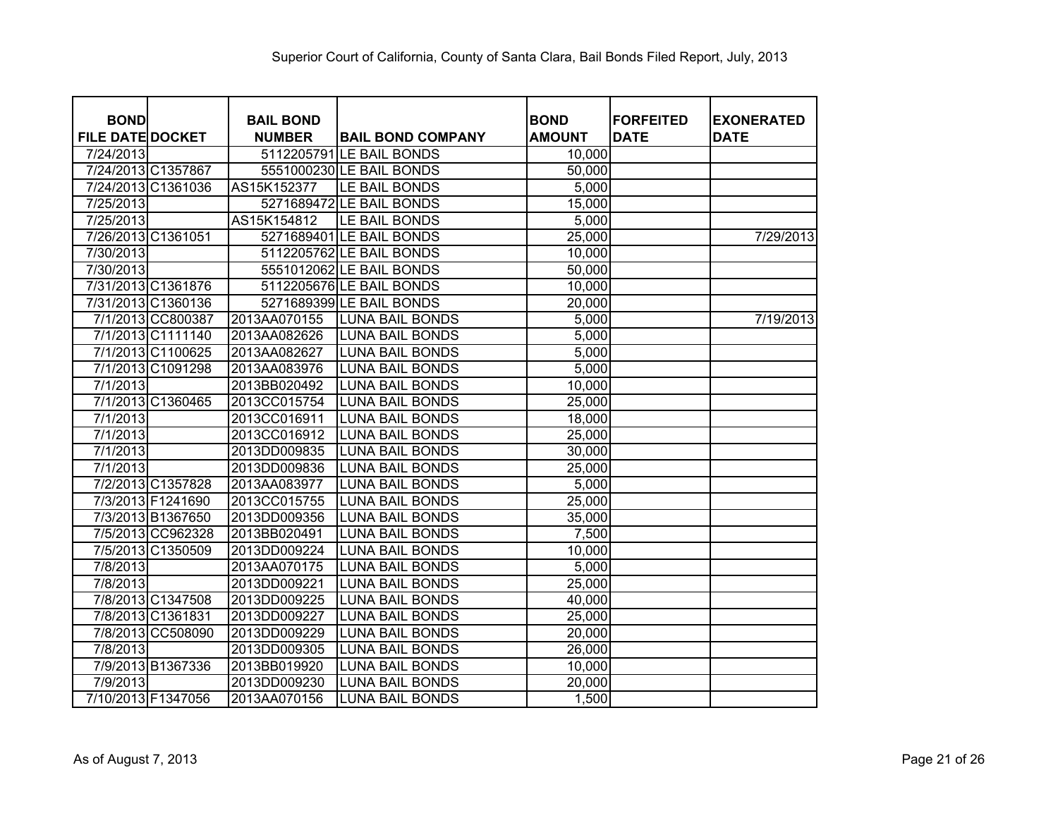| <b>BOND</b>             | <b>BAIL BOND</b> |                          | <b>BOND</b>   | <b>FORFEITED</b> | <b>EXONERATED</b> |
|-------------------------|------------------|--------------------------|---------------|------------------|-------------------|
| <b>FILE DATE DOCKET</b> | <b>NUMBER</b>    | <b>BAIL BOND COMPANY</b> | <b>AMOUNT</b> | <b>DATE</b>      | <b>DATE</b>       |
| 7/24/2013               |                  | 5112205791 LE BAIL BONDS | 10,000        |                  |                   |
| 7/24/2013 C1357867      |                  | 5551000230 LE BAIL BONDS | 50,000        |                  |                   |
| 7/24/2013 C1361036      | AS15K152377      | LE BAIL BONDS            | 5,000         |                  |                   |
| 7/25/2013               |                  | 5271689472 LE BAIL BONDS | 15,000        |                  |                   |
| 7/25/2013               | AS15K154812      | LE BAIL BONDS            | 5,000         |                  |                   |
| 7/26/2013 C1361051      |                  | 5271689401 LE BAIL BONDS | 25,000        |                  | 7/29/2013         |
| 7/30/2013               |                  | 5112205762 LE BAIL BONDS | 10,000        |                  |                   |
| 7/30/2013               |                  | 5551012062 LE BAIL BONDS | 50,000        |                  |                   |
| 7/31/2013 C1361876      |                  | 5112205676 LE BAIL BONDS | 10,000        |                  |                   |
| 7/31/2013 C1360136      |                  | 5271689399 LE BAIL BONDS | 20,000        |                  |                   |
| 7/1/2013 CC800387       | 2013AA070155     | <b>LUNA BAIL BONDS</b>   | 5,000         |                  | 7/19/2013         |
| 7/1/2013 C1111140       | 2013AA082626     | <b>LUNA BAIL BONDS</b>   | 5,000         |                  |                   |
| 7/1/2013 C1100625       | 2013AA082627     | <b>LUNA BAIL BONDS</b>   | 5,000         |                  |                   |
| 7/1/2013 C1091298       | 2013AA083976     | <b>LUNA BAIL BONDS</b>   | 5,000         |                  |                   |
| 7/1/2013                | 2013BB020492     | <b>LUNA BAIL BONDS</b>   | 10,000        |                  |                   |
| 7/1/2013 C1360465       | 2013CC015754     | <b>LUNA BAIL BONDS</b>   | 25,000        |                  |                   |
| 7/1/2013                | 2013CC016911     | <b>LUNA BAIL BONDS</b>   | 18,000        |                  |                   |
| 7/1/2013                | 2013CC016912     | <b>LUNA BAIL BONDS</b>   | 25,000        |                  |                   |
| $\overline{7/1/2013}$   | 2013DD009835     | <b>LUNA BAIL BONDS</b>   | 30,000        |                  |                   |
| 7/1/2013                | 2013DD009836     | <b>LUNA BAIL BONDS</b>   | 25,000        |                  |                   |
| 7/2/2013 C1357828       | 2013AA083977     | <b>LUNA BAIL BONDS</b>   | 5,000         |                  |                   |
| 7/3/2013 F1241690       | 2013CC015755     | <b>LUNA BAIL BONDS</b>   | 25,000        |                  |                   |
| 7/3/2013 B1367650       | 2013DD009356     | <b>LUNA BAIL BONDS</b>   | 35,000        |                  |                   |
| 7/5/2013 CC962328       | 2013BB020491     | <b>LUNA BAIL BONDS</b>   | 7,500         |                  |                   |
| 7/5/2013 C1350509       | 2013DD009224     | <b>LUNA BAIL BONDS</b>   | 10,000        |                  |                   |
| 7/8/2013                | 2013AA070175     | <b>LUNA BAIL BONDS</b>   | 5,000         |                  |                   |
| 7/8/2013                | 2013DD009221     | <b>LUNA BAIL BONDS</b>   | 25,000        |                  |                   |
| 7/8/2013 C1347508       | 2013DD009225     | <b>LUNA BAIL BONDS</b>   | 40,000        |                  |                   |
| 7/8/2013 C1361831       | 2013DD009227     | <b>LUNA BAIL BONDS</b>   | 25,000        |                  |                   |
| 7/8/2013 CC508090       | 2013DD009229     | <b>LUNA BAIL BONDS</b>   | 20,000        |                  |                   |
| 7/8/2013                | 2013DD009305     | <b>LUNA BAIL BONDS</b>   | 26,000        |                  |                   |
| 7/9/2013 B1367336       | 2013BB019920     | <b>LUNA BAIL BONDS</b>   | 10,000        |                  |                   |
| 7/9/2013                | 2013DD009230     | <b>LUNA BAIL BONDS</b>   | 20,000        |                  |                   |
| 7/10/2013 F1347056      | 2013AA070156     | <b>LUNA BAIL BONDS</b>   | 1,500         |                  |                   |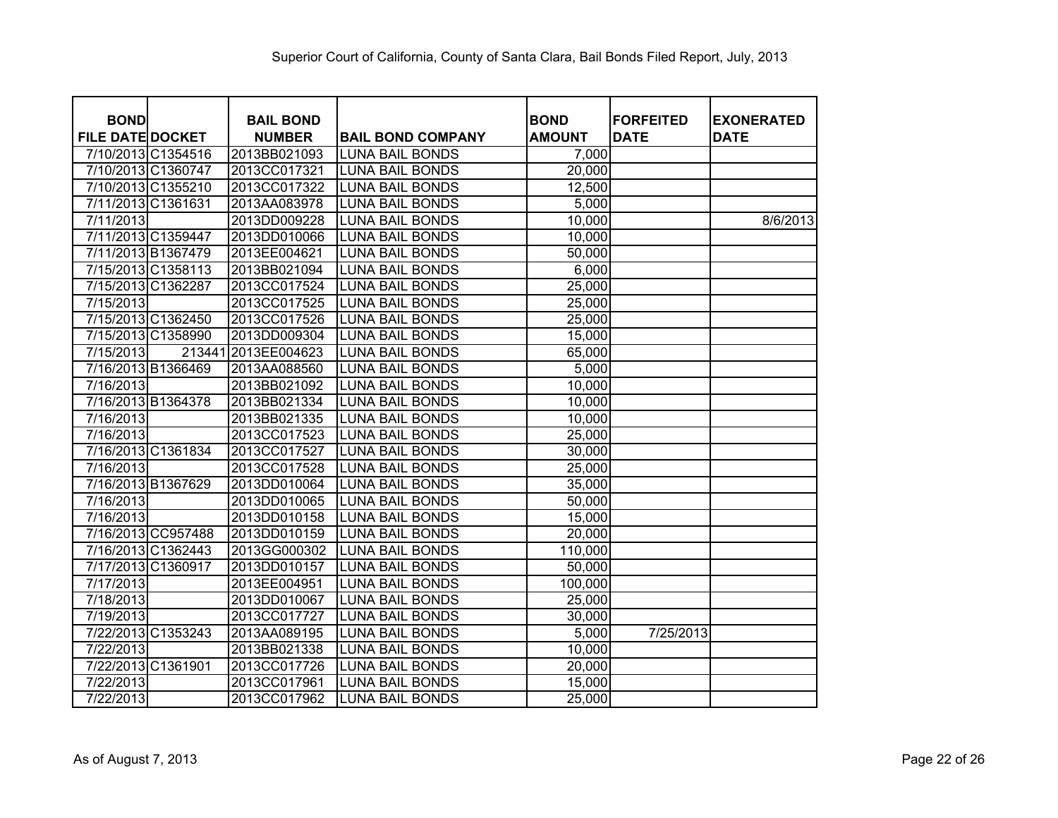| <b>BOND</b>             |                    | <b>BAIL BOND</b> |                          | <b>BOND</b>   | <b>FORFEITED</b> | <b>EXONERATED</b> |
|-------------------------|--------------------|------------------|--------------------------|---------------|------------------|-------------------|
| <b>FILE DATE DOCKET</b> |                    | <b>NUMBER</b>    | <b>BAIL BOND COMPANY</b> | <b>AMOUNT</b> | <b>DATE</b>      | <b>DATE</b>       |
| 7/10/2013 C1354516      |                    | 2013BB021093     | <b>LUNA BAIL BONDS</b>   | 7,000         |                  |                   |
| 7/10/2013 C1360747      |                    | 2013CC017321     | <b>LUNA BAIL BONDS</b>   | 20,000        |                  |                   |
| 7/10/2013 C1355210      |                    | 2013CC017322     | <b>LUNA BAIL BONDS</b>   | 12,500        |                  |                   |
| 7/11/2013 C1361631      |                    | 2013AA083978     | <b>LUNA BAIL BONDS</b>   | 5,000         |                  |                   |
| 7/11/2013               |                    | 2013DD009228     | <b>LUNA BAIL BONDS</b>   | 10,000        |                  | 8/6/2013          |
| 7/11/2013 C1359447      |                    | 2013DD010066     | <b>LUNA BAIL BONDS</b>   | 10,000        |                  |                   |
| 7/11/2013 B1367479      |                    | 2013EE004621     | <b>LUNA BAIL BONDS</b>   | 50,000        |                  |                   |
| 7/15/2013 C1358113      |                    | 2013BB021094     | <b>LUNA BAIL BONDS</b>   | 6,000         |                  |                   |
| 7/15/2013 C1362287      |                    | 2013CC017524     | <b>LUNA BAIL BONDS</b>   | 25,000        |                  |                   |
| 7/15/2013               |                    | 2013CC017525     | <b>LUNA BAIL BONDS</b>   | 25,000        |                  |                   |
| 7/15/2013 C1362450      |                    | 2013CC017526     | <b>LUNA BAIL BONDS</b>   | 25,000        |                  |                   |
| 7/15/2013 C1358990      |                    | 2013DD009304     | <b>LUNA BAIL BONDS</b>   | 15,000        |                  |                   |
| 7/15/2013               | 213441             | 2013EE004623     | <b>LUNA BAIL BONDS</b>   | 65,000        |                  |                   |
| 7/16/2013 B1366469      |                    | 2013AA088560     | <b>LUNA BAIL BONDS</b>   | 5,000         |                  |                   |
| 7/16/2013               |                    | 2013BB021092     | <b>LUNA BAIL BONDS</b>   | 10,000        |                  |                   |
| 7/16/2013 B1364378      |                    | 2013BB021334     | <b>LUNA BAIL BONDS</b>   | 10,000        |                  |                   |
| 7/16/2013               |                    | 2013BB021335     | <b>LUNA BAIL BONDS</b>   | 10,000        |                  |                   |
| 7/16/2013               |                    | 2013CC017523     | <b>LUNA BAIL BONDS</b>   | 25,000        |                  |                   |
| 7/16/2013 C1361834      |                    | 2013CC017527     | <b>LUNA BAIL BONDS</b>   | 30,000        |                  |                   |
| 7/16/2013               |                    | 2013CC017528     | <b>LUNA BAIL BONDS</b>   | 25,000        |                  |                   |
| 7/16/2013 B1367629      |                    | 2013DD010064     | <b>LUNA BAIL BONDS</b>   | 35,000        |                  |                   |
| 7/16/2013               |                    | 2013DD010065     | <b>LUNA BAIL BONDS</b>   | 50,000        |                  |                   |
| 7/16/2013               |                    | 2013DD010158     | <b>LUNA BAIL BONDS</b>   | 15,000        |                  |                   |
|                         | 7/16/2013 CC957488 | 2013DD010159     | <b>LUNA BAIL BONDS</b>   | 20,000        |                  |                   |
| 7/16/2013 C1362443      |                    | 2013GG000302     | <b>LUNA BAIL BONDS</b>   | 110,000       |                  |                   |
| 7/17/2013 C1360917      |                    | 2013DD010157     | <b>LUNA BAIL BONDS</b>   | 50,000        |                  |                   |
| 7/17/2013               |                    | 2013EE004951     | <b>LUNA BAIL BONDS</b>   | 100,000       |                  |                   |
| 7/18/2013               |                    | 2013DD010067     | <b>LUNA BAIL BONDS</b>   | 25,000        |                  |                   |
| 7/19/2013               |                    | 2013CC017727     | <b>LUNA BAIL BONDS</b>   | 30,000        |                  |                   |
| 7/22/2013 C1353243      |                    | 2013AA089195     | <b>LUNA BAIL BONDS</b>   | 5,000         | 7/25/2013        |                   |
| 7/22/2013               |                    | 2013BB021338     | <b>LUNA BAIL BONDS</b>   | 10,000        |                  |                   |
| 7/22/2013 C1361901      |                    | 2013CC017726     | <b>LUNA BAIL BONDS</b>   | 20,000        |                  |                   |
| 7/22/2013               |                    | 2013CC017961     | <b>LUNA BAIL BONDS</b>   | 15,000        |                  |                   |
| 7/22/2013               |                    | 2013CC017962     | <b>LUNA BAIL BONDS</b>   | 25,000        |                  |                   |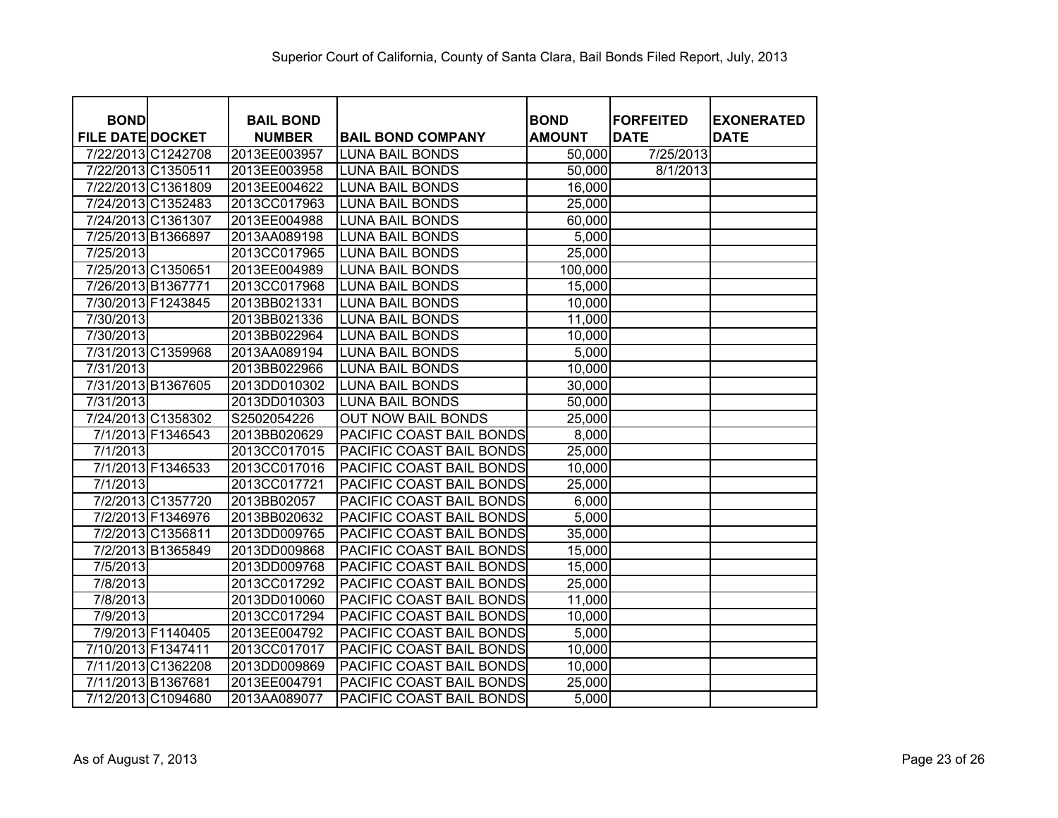| <b>BOND</b>             |                   | <b>BAIL BOND</b> |                           | <b>BOND</b>   | <b>FORFEITED</b> | <b>EXONERATED</b> |
|-------------------------|-------------------|------------------|---------------------------|---------------|------------------|-------------------|
| <b>FILE DATE DOCKET</b> |                   | <b>NUMBER</b>    | <b>BAIL BOND COMPANY</b>  | <b>AMOUNT</b> | <b>DATE</b>      | <b>DATE</b>       |
| 7/22/2013 C1242708      |                   | 2013EE003957     | <b>LUNA BAIL BONDS</b>    | 50,000        | 7/25/2013        |                   |
| 7/22/2013 C1350511      |                   | 2013EE003958     | LUNA BAIL BONDS           | 50,000        | 8/1/2013         |                   |
| 7/22/2013 C1361809      |                   | 2013EE004622     | <b>LUNA BAIL BONDS</b>    | 16,000        |                  |                   |
| 7/24/2013 C1352483      |                   | 2013CC017963     | <b>LUNA BAIL BONDS</b>    | 25,000        |                  |                   |
| 7/24/2013 C1361307      |                   | 2013EE004988     | <b>LUNA BAIL BONDS</b>    | 60,000        |                  |                   |
| 7/25/2013 B1366897      |                   | 2013AA089198     | <b>LUNA BAIL BONDS</b>    | 5,000         |                  |                   |
| 7/25/2013               |                   | 2013CC017965     | <b>LUNA BAIL BONDS</b>    | 25,000        |                  |                   |
| 7/25/2013 C1350651      |                   | 2013EE004989     | <b>LUNA BAIL BONDS</b>    | 100,000       |                  |                   |
| 7/26/2013 B1367771      |                   | 2013CC017968     | <b>LUNA BAIL BONDS</b>    | 15,000        |                  |                   |
| 7/30/2013 F1243845      |                   | 2013BB021331     | <b>LUNA BAIL BONDS</b>    | 10,000        |                  |                   |
| 7/30/2013               |                   | 2013BB021336     | <b>LUNA BAIL BONDS</b>    | 11,000        |                  |                   |
| 7/30/2013               |                   | 2013BB022964     | <b>LUNA BAIL BONDS</b>    | 10,000        |                  |                   |
| 7/31/2013 C1359968      |                   | 2013AA089194     | <b>LUNA BAIL BONDS</b>    | 5,000         |                  |                   |
| 7/31/2013               |                   | 2013BB022966     | <b>LUNA BAIL BONDS</b>    | 10,000        |                  |                   |
| 7/31/2013 B1367605      |                   | 2013DD010302     | <b>LUNA BAIL BONDS</b>    | 30,000        |                  |                   |
| 7/31/2013               |                   | 2013DD010303     | <b>LUNA BAIL BONDS</b>    | 50,000        |                  |                   |
| 7/24/2013 C1358302      |                   | S2502054226      | <b>OUT NOW BAIL BONDS</b> | 25,000        |                  |                   |
|                         | 7/1/2013 F1346543 | 2013BB020629     | PACIFIC COAST BAIL BONDS  | 8,000         |                  |                   |
| 7/1/2013                |                   | 2013CC017015     | PACIFIC COAST BAIL BONDS  | 25,000        |                  |                   |
|                         | 7/1/2013 F1346533 | 2013CC017016     | PACIFIC COAST BAIL BONDS  | 10,000        |                  |                   |
| 7/1/2013                |                   | 2013CC017721     | PACIFIC COAST BAIL BONDS  | 25,000        |                  |                   |
|                         | 7/2/2013 C1357720 | 2013BB02057      | PACIFIC COAST BAIL BONDS  | 6,000         |                  |                   |
|                         | 7/2/2013 F1346976 | 2013BB020632     | PACIFIC COAST BAIL BONDS  | 5,000         |                  |                   |
|                         | 7/2/2013 C1356811 | 2013DD009765     | PACIFIC COAST BAIL BONDS  | 35,000        |                  |                   |
|                         | 7/2/2013 B1365849 | 2013DD009868     | PACIFIC COAST BAIL BONDS  | 15,000        |                  |                   |
| 7/5/2013                |                   | 2013DD009768     | PACIFIC COAST BAIL BONDS  | 15,000        |                  |                   |
| 7/8/2013                |                   | 2013CC017292     | PACIFIC COAST BAIL BONDS  | 25,000        |                  |                   |
| 7/8/2013                |                   | 2013DD010060     | PACIFIC COAST BAIL BONDS  | 11,000        |                  |                   |
| 7/9/2013                |                   | 2013CC017294     | PACIFIC COAST BAIL BONDS  | 10,000        |                  |                   |
|                         | 7/9/2013 F1140405 | 2013EE004792     | PACIFIC COAST BAIL BONDS  | 5,000         |                  |                   |
| 7/10/2013 F1347411      |                   | 2013CC017017     | PACIFIC COAST BAIL BONDS  | 10,000        |                  |                   |
| 7/11/2013 C1362208      |                   | 2013DD009869     | PACIFIC COAST BAIL BONDS  | 10,000        |                  |                   |
| 7/11/2013 B1367681      |                   | 2013EE004791     | PACIFIC COAST BAIL BONDS  | 25,000        |                  |                   |
| 7/12/2013 C1094680      |                   | 2013AA089077     | PACIFIC COAST BAIL BONDS  | 5,000         |                  |                   |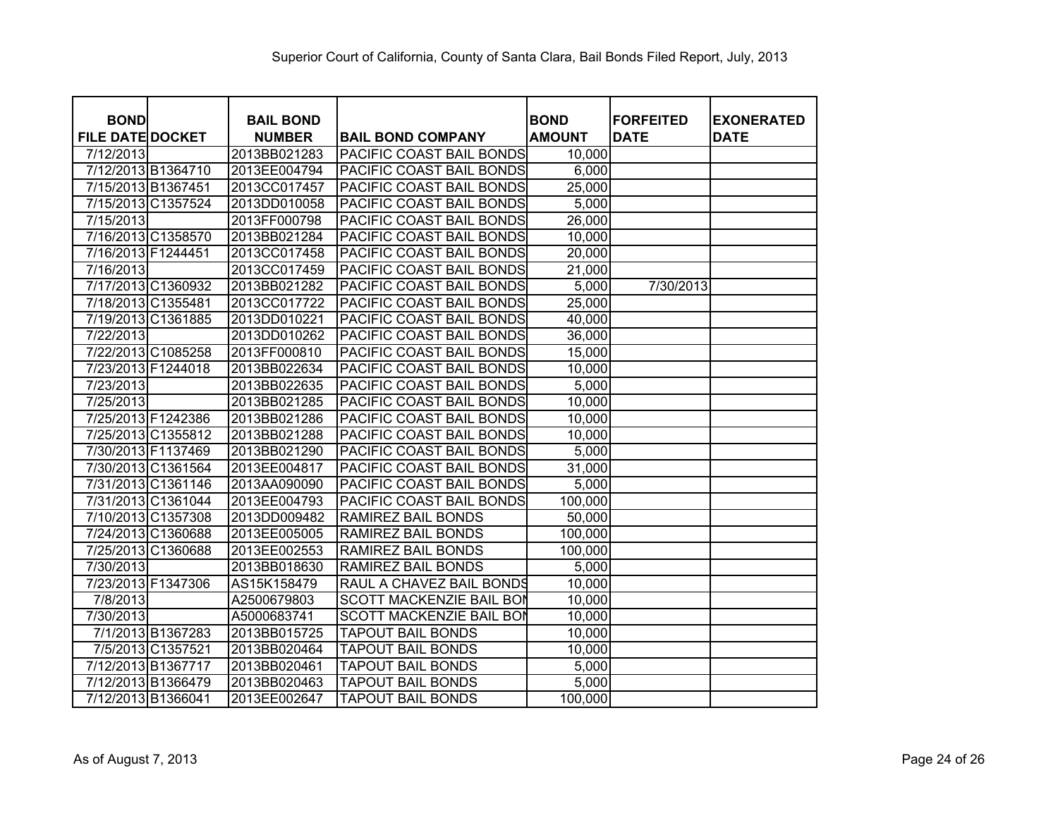| <b>BOND</b>             |                    | <b>BAIL BOND</b>             |                                                      | <b>BOND</b>     | <b>IFORFEITED</b> | <b>EXONERATED</b> |
|-------------------------|--------------------|------------------------------|------------------------------------------------------|-----------------|-------------------|-------------------|
| <b>FILE DATE DOCKET</b> |                    | <b>NUMBER</b>                | <b>BAIL BOND COMPANY</b>                             | <b>AMOUNT</b>   | <b>DATE</b>       | <b>DATE</b>       |
| 7/12/2013               | 7/12/2013 B1364710 | 2013BB021283<br>2013EE004794 | PACIFIC COAST BAIL BONDS<br>PACIFIC COAST BAIL BONDS | 10,000<br>6,000 |                   |                   |
|                         | 7/15/2013 B1367451 | 2013CC017457                 | PACIFIC COAST BAIL BONDS                             | 25,000          |                   |                   |
|                         |                    |                              |                                                      |                 |                   |                   |
|                         | 7/15/2013 C1357524 | 2013DD010058                 | PACIFIC COAST BAIL BONDS                             | 5,000           |                   |                   |
| 7/15/2013               |                    | 2013FF000798                 | PACIFIC COAST BAIL BONDS                             | 26,000          |                   |                   |
|                         | 7/16/2013 C1358570 | 2013BB021284                 | PACIFIC COAST BAIL BONDS                             | 10,000          |                   |                   |
| 7/16/2013 F1244451      |                    | 2013CC017458                 | PACIFIC COAST BAIL BONDS                             | 20,000          |                   |                   |
| 7/16/2013               |                    | 2013CC017459                 | PACIFIC COAST BAIL BONDS                             | 21,000          |                   |                   |
|                         | 7/17/2013 C1360932 | 2013BB021282                 | PACIFIC COAST BAIL BONDS                             | 5,000           | 7/30/2013         |                   |
|                         | 7/18/2013 C1355481 | 2013CC017722                 | PACIFIC COAST BAIL BONDS                             | 25,000          |                   |                   |
|                         | 7/19/2013 C1361885 | 2013DD010221                 | PACIFIC COAST BAIL BONDS                             | 40,000          |                   |                   |
| 7/22/2013               |                    | 2013DD010262                 | PACIFIC COAST BAIL BONDS                             | 36,000          |                   |                   |
|                         | 7/22/2013 C1085258 | 2013FF000810                 | PACIFIC COAST BAIL BONDS                             | 15,000          |                   |                   |
|                         | 7/23/2013 F1244018 | 2013BB022634                 | PACIFIC COAST BAIL BONDS                             | 10,000          |                   |                   |
| 7/23/2013               |                    | 2013BB022635                 | PACIFIC COAST BAIL BONDS                             | 5,000           |                   |                   |
| 7/25/2013               |                    | 2013BB021285                 | PACIFIC COAST BAIL BONDS                             | 10,000          |                   |                   |
|                         | 7/25/2013 F1242386 | 2013BB021286                 | PACIFIC COAST BAIL BONDS                             | 10,000          |                   |                   |
|                         | 7/25/2013 C1355812 | 2013BB021288                 | PACIFIC COAST BAIL BONDS                             | 10,000          |                   |                   |
|                         | 7/30/2013 F1137469 | 2013BB021290                 | PACIFIC COAST BAIL BONDS                             | 5,000           |                   |                   |
|                         | 7/30/2013 C1361564 | 2013EE004817                 | PACIFIC COAST BAIL BONDS                             | 31,000          |                   |                   |
|                         | 7/31/2013 C1361146 | 2013AA090090                 | PACIFIC COAST BAIL BONDS                             | 5,000           |                   |                   |
|                         | 7/31/2013 C1361044 | 2013EE004793                 | PACIFIC COAST BAIL BONDS                             | 100,000         |                   |                   |
|                         | 7/10/2013 C1357308 | 2013DD009482                 | RAMIREZ BAIL BONDS                                   | 50,000          |                   |                   |
|                         | 7/24/2013 C1360688 | 2013EE005005                 | RAMIREZ BAIL BONDS                                   | 100,000         |                   |                   |
|                         | 7/25/2013 C1360688 | 2013EE002553                 | RAMIREZ BAIL BONDS                                   | 100,000         |                   |                   |
| 7/30/2013               |                    | 2013BB018630                 | RAMIREZ BAIL BONDS                                   | 5,000           |                   |                   |
|                         | 7/23/2013 F1347306 | AS15K158479                  | RAUL A CHAVEZ BAIL BONDS                             | 10,000          |                   |                   |
| 7/8/2013                |                    | A2500679803                  | <b>SCOTT MACKENZIE BAIL BOI</b>                      | 10,000          |                   |                   |
| 7/30/2013               |                    | A5000683741                  | <b>SCOTT MACKENZIE BAIL BOI</b>                      | 10,000          |                   |                   |
|                         | 7/1/2013 B1367283  | 2013BB015725                 | <b>TAPOUT BAIL BONDS</b>                             | 10,000          |                   |                   |
|                         | 7/5/2013 C1357521  | 2013BB020464                 | <b>TAPOUT BAIL BONDS</b>                             | 10,000          |                   |                   |
|                         | 7/12/2013 B1367717 | 2013BB020461                 | <b>TAPOUT BAIL BONDS</b>                             | 5,000           |                   |                   |
|                         | 7/12/2013 B1366479 | 2013BB020463                 | <b>TAPOUT BAIL BONDS</b>                             | 5,000           |                   |                   |
|                         | 7/12/2013 B1366041 | 2013EE002647                 | <b>TAPOUT BAIL BONDS</b>                             | 100,000         |                   |                   |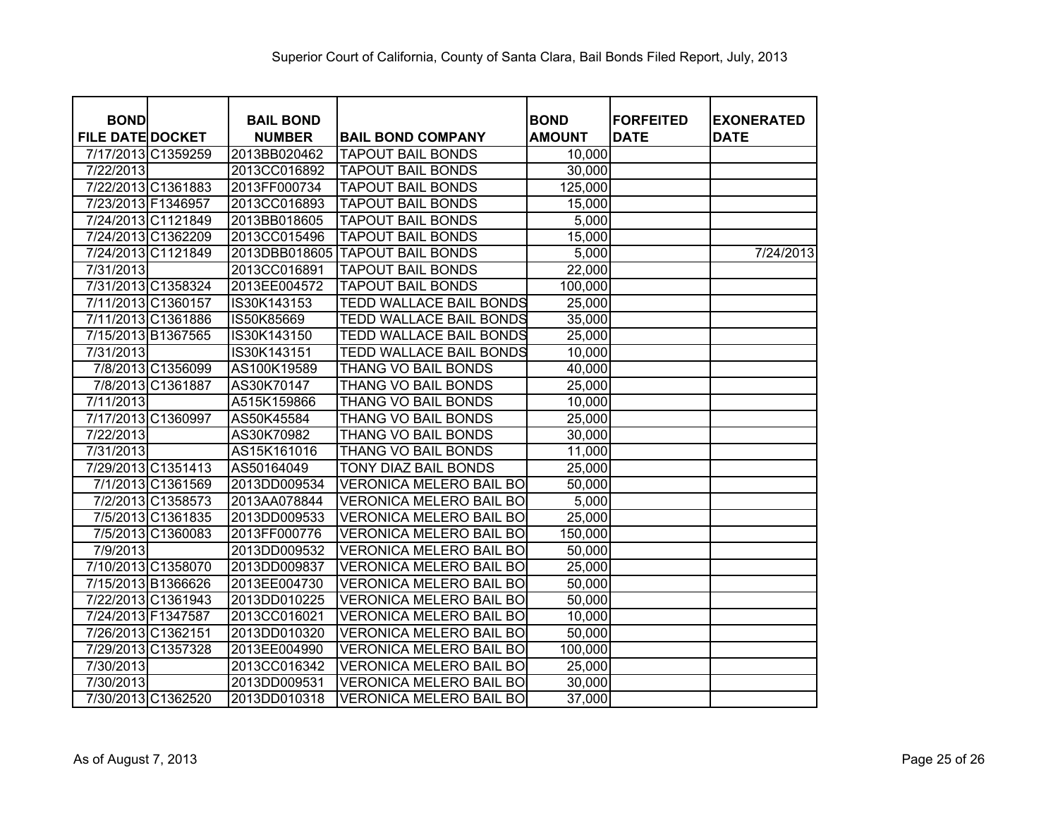| <b>BOND</b>             | <b>BAIL BOND</b> |                                 | <b>BOND</b>   | <b>FORFEITED</b> | <b>EXONERATED</b> |
|-------------------------|------------------|---------------------------------|---------------|------------------|-------------------|
| <b>FILE DATE DOCKET</b> | <b>NUMBER</b>    | <b>BAIL BOND COMPANY</b>        | <b>AMOUNT</b> | <b>DATE</b>      | <b>DATE</b>       |
| 7/17/2013 C1359259      | 2013BB020462     | <b>TAPOUT BAIL BONDS</b>        | 10,000        |                  |                   |
| 7/22/2013               | 2013CC016892     | <b>TAPOUT BAIL BONDS</b>        | 30,000        |                  |                   |
| 7/22/2013 C1361883      | 2013FF000734     | <b>TAPOUT BAIL BONDS</b>        | 125,000       |                  |                   |
| 7/23/2013 F1346957      | 2013CC016893     | <b>TAPOUT BAIL BONDS</b>        | 15,000        |                  |                   |
| 7/24/2013 C1121849      | 2013BB018605     | <b>TAPOUT BAIL BONDS</b>        | 5,000         |                  |                   |
| 7/24/2013 C1362209      | 2013CC015496     | <b>TAPOUT BAIL BONDS</b>        | 15,000        |                  |                   |
| 7/24/2013 C1121849      |                  | 2013DBB018605 TAPOUT BAIL BONDS | 5,000         |                  | 7/24/2013         |
| 7/31/2013               | 2013CC016891     | <b>TAPOUT BAIL BONDS</b>        | 22,000        |                  |                   |
| 7/31/2013 C1358324      | 2013EE004572     | <b>TAPOUT BAIL BONDS</b>        | 100,000       |                  |                   |
| 7/11/2013 C1360157      | IS30K143153      | TEDD WALLACE BAIL BONDS         | 25,000        |                  |                   |
| 7/11/2013 C1361886      | IS50K85669       | <b>TEDD WALLACE BAIL BONDS</b>  | 35,000        |                  |                   |
| 7/15/2013 B1367565      | IS30K143150      | TEDD WALLACE BAIL BONDS         | 25,000        |                  |                   |
| 7/31/2013               | IS30K143151      | <b>TEDD WALLACE BAIL BONDS</b>  | 10,000        |                  |                   |
| 7/8/2013 C1356099       | AS100K19589      | THANG VO BAIL BONDS             | 40,000        |                  |                   |
| 7/8/2013 C1361887       | AS30K70147       | THANG VO BAIL BONDS             | 25,000        |                  |                   |
| 7/11/2013               | A515K159866      | THANG VO BAIL BONDS             | 10,000        |                  |                   |
| 7/17/2013 C1360997      | AS50K45584       | THANG VO BAIL BONDS             | 25,000        |                  |                   |
| 7/22/2013               | AS30K70982       | THANG VO BAIL BONDS             | 30,000        |                  |                   |
| 7/31/2013               | AS15K161016      | THANG VO BAIL BONDS             | 11,000        |                  |                   |
| 7/29/2013 C1351413      | AS50164049       | TONY DIAZ BAIL BONDS            | 25,000        |                  |                   |
| 7/1/2013 C1361569       | 2013DD009534     | VERONICA MELERO BAIL BO         | 50,000        |                  |                   |
| 7/2/2013 C1358573       | 2013AA078844     | <b>VERONICA MELERO BAIL BO</b>  | 5,000         |                  |                   |
| 7/5/2013 C1361835       | 2013DD009533     | <b>VERONICA MELERO BAIL BO</b>  | 25,000        |                  |                   |
| 7/5/2013 C1360083       | 2013FF000776     | <b>VERONICA MELERO BAIL BO</b>  | 150,000       |                  |                   |
| 7/9/2013                | 2013DD009532     | <b>VERONICA MELERO BAIL BO</b>  | 50,000        |                  |                   |
| 7/10/2013 C1358070      | 2013DD009837     | <b>VERONICA MELERO BAIL BO</b>  | 25,000        |                  |                   |
| 7/15/2013 B1366626      | 2013EE004730     | <b>VERONICA MELERO BAIL BO</b>  | 50,000        |                  |                   |
| 7/22/2013 C1361943      | 2013DD010225     | <b>VERONICA MELERO BAIL BO</b>  | 50,000        |                  |                   |
| 7/24/2013 F1347587      | 2013CC016021     | <b>VERONICA MELERO BAIL BO</b>  | 10,000        |                  |                   |
| 7/26/2013 C1362151      | 2013DD010320     | <b>VERONICA MELERO BAIL BO</b>  | 50,000        |                  |                   |
| 7/29/2013 C1357328      | 2013EE004990     | <b>VERONICA MELERO BAIL BO</b>  | 100,000       |                  |                   |
| 7/30/2013               | 2013CC016342     | <b>VERONICA MELERO BAIL BO</b>  | 25,000        |                  |                   |
| 7/30/2013               | 2013DD009531     | <b>VERONICA MELERO BAIL BO</b>  | 30,000        |                  |                   |
| 7/30/2013 C1362520      | 2013DD010318     | <b>VERONICA MELERO BAIL BO</b>  | 37,000        |                  |                   |